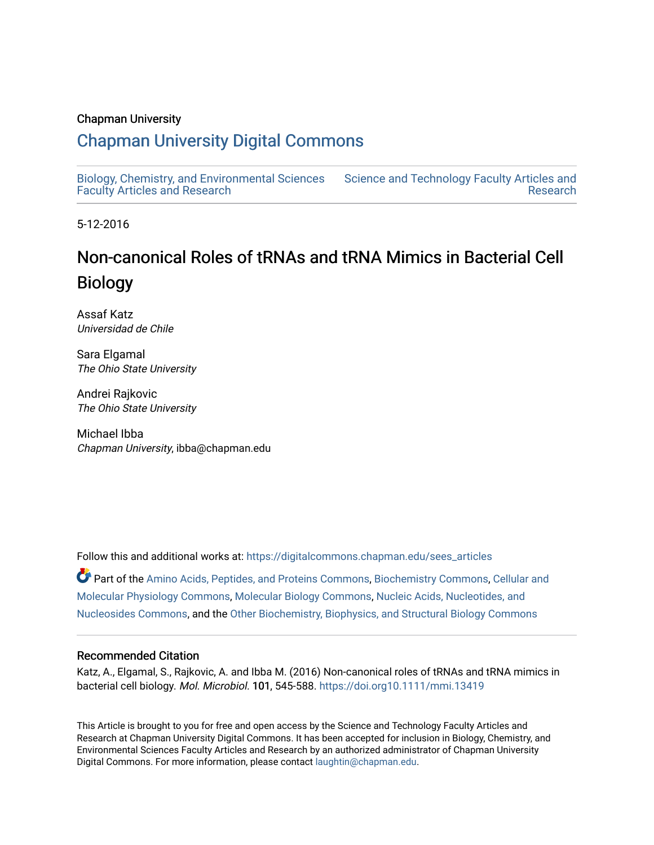#### Chapman University

## [Chapman University Digital Commons](https://digitalcommons.chapman.edu/)

[Biology, Chemistry, and Environmental Sciences](https://digitalcommons.chapman.edu/sees_articles) [Faculty Articles and Research](https://digitalcommons.chapman.edu/sees_articles) [Science and Technology Faculty Articles and](https://digitalcommons.chapman.edu/science_articles)  [Research](https://digitalcommons.chapman.edu/science_articles) 

5-12-2016

# Non-canonical Roles of tRNAs and tRNA Mimics in Bacterial Cell Biology

Assaf Katz Universidad de Chile

Sara Elgamal The Ohio State University

Andrei Rajkovic The Ohio State University

Michael Ibba Chapman University, ibba@chapman.edu

Follow this and additional works at: [https://digitalcommons.chapman.edu/sees\\_articles](https://digitalcommons.chapman.edu/sees_articles?utm_source=digitalcommons.chapman.edu%2Fsees_articles%2F348&utm_medium=PDF&utm_campaign=PDFCoverPages) 

Part of the [Amino Acids, Peptides, and Proteins Commons](http://network.bepress.com/hgg/discipline/954?utm_source=digitalcommons.chapman.edu%2Fsees_articles%2F348&utm_medium=PDF&utm_campaign=PDFCoverPages), [Biochemistry Commons](http://network.bepress.com/hgg/discipline/2?utm_source=digitalcommons.chapman.edu%2Fsees_articles%2F348&utm_medium=PDF&utm_campaign=PDFCoverPages), [Cellular and](http://network.bepress.com/hgg/discipline/70?utm_source=digitalcommons.chapman.edu%2Fsees_articles%2F348&utm_medium=PDF&utm_campaign=PDFCoverPages) [Molecular Physiology Commons,](http://network.bepress.com/hgg/discipline/70?utm_source=digitalcommons.chapman.edu%2Fsees_articles%2F348&utm_medium=PDF&utm_campaign=PDFCoverPages) [Molecular Biology Commons](http://network.bepress.com/hgg/discipline/5?utm_source=digitalcommons.chapman.edu%2Fsees_articles%2F348&utm_medium=PDF&utm_campaign=PDFCoverPages), [Nucleic Acids, Nucleotides, and](http://network.bepress.com/hgg/discipline/935?utm_source=digitalcommons.chapman.edu%2Fsees_articles%2F348&utm_medium=PDF&utm_campaign=PDFCoverPages)  [Nucleosides Commons,](http://network.bepress.com/hgg/discipline/935?utm_source=digitalcommons.chapman.edu%2Fsees_articles%2F348&utm_medium=PDF&utm_campaign=PDFCoverPages) and the [Other Biochemistry, Biophysics, and Structural Biology Commons](http://network.bepress.com/hgg/discipline/7?utm_source=digitalcommons.chapman.edu%2Fsees_articles%2F348&utm_medium=PDF&utm_campaign=PDFCoverPages)

#### Recommended Citation

Katz, A., Elgamal, S., Rajkovic, A. and Ibba M. (2016) Non-canonical roles of tRNAs and tRNA mimics in bacterial cell biology. Mol. Microbiol. 101, 545-588. [https://doi.org10.1111/mmi.13419](https://doi.org/10.1111/mmi.13419) 

This Article is brought to you for free and open access by the Science and Technology Faculty Articles and Research at Chapman University Digital Commons. It has been accepted for inclusion in Biology, Chemistry, and Environmental Sciences Faculty Articles and Research by an authorized administrator of Chapman University Digital Commons. For more information, please contact [laughtin@chapman.edu](mailto:laughtin@chapman.edu).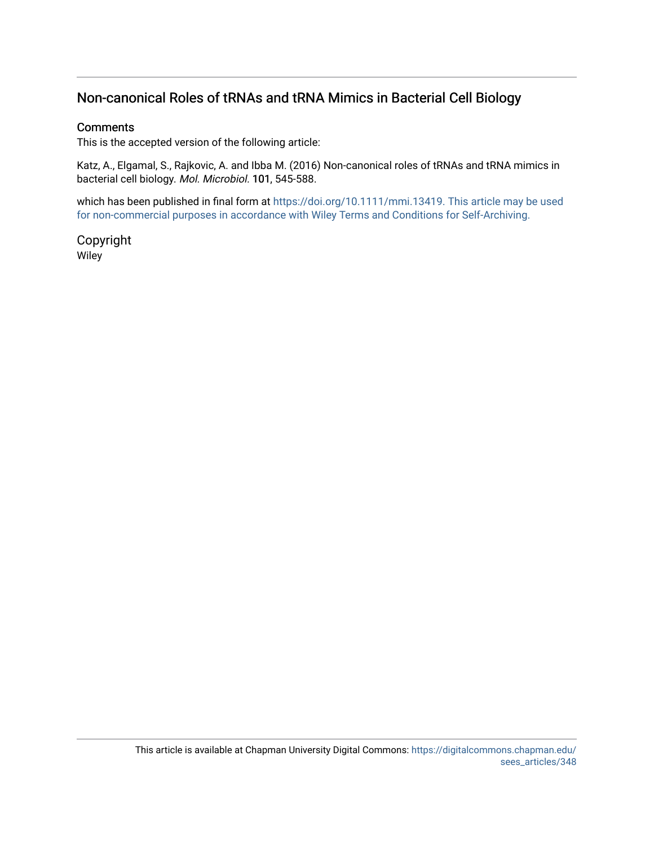## Non-canonical Roles of tRNAs and tRNA Mimics in Bacterial Cell Biology

#### **Comments**

This is the accepted version of the following article:

Katz, A., Elgamal, S., Rajkovic, A. and Ibba M. (2016) Non-canonical roles of tRNAs and tRNA mimics in bacterial cell biology. Mol. Microbiol. 101, 545-588.

which has been published in final form at [https://doi.org/10.1111/mmi.13419. This article may be used](https://doi.org/10.1111/mmi.13419)  [for non-commercial purposes in accordance with](https://doi.org/10.1111/mmi.13419) [Wiley Terms and Conditions for Self-Archiving](http://olabout.wiley.com/WileyCDA/Section/id-820227.html#terms)[.](https://doi.org/10.1111/mmi.13419) 

Copyright Wiley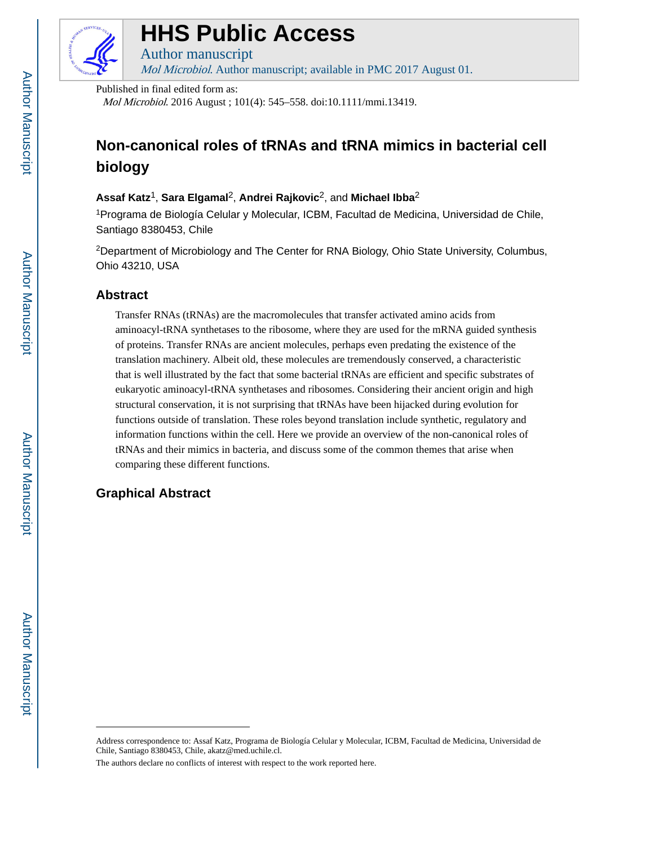

# **HHS Public Access**

Author manuscript

Mol Microbiol. Author manuscript; available in PMC 2017 August 01.

Published in final edited form as:

Mol Microbiol. 2016 August ; 101(4): 545–558. doi:10.1111/mmi.13419.

## **Non-canonical roles of tRNAs and tRNA mimics in bacterial cell biology**

## **Assaf Katz**1, **Sara Elgamal**2, **Andrei Rajkovic**2, and **Michael Ibba**<sup>2</sup>

<sup>1</sup>Programa de Biología Celular y Molecular, ICBM, Facultad de Medicina, Universidad de Chile, Santiago 8380453, Chile

<sup>2</sup>Department of Microbiology and The Center for RNA Biology, Ohio State University, Columbus, Ohio 43210, USA

## **Abstract**

Transfer RNAs (tRNAs) are the macromolecules that transfer activated amino acids from aminoacyl-tRNA synthetases to the ribosome, where they are used for the mRNA guided synthesis of proteins. Transfer RNAs are ancient molecules, perhaps even predating the existence of the translation machinery. Albeit old, these molecules are tremendously conserved, a characteristic that is well illustrated by the fact that some bacterial tRNAs are efficient and specific substrates of eukaryotic aminoacyl-tRNA synthetases and ribosomes. Considering their ancient origin and high structural conservation, it is not surprising that tRNAs have been hijacked during evolution for functions outside of translation. These roles beyond translation include synthetic, regulatory and information functions within the cell. Here we provide an overview of the non-canonical roles of tRNAs and their mimics in bacteria, and discuss some of the common themes that arise when comparing these different functions.

## **Graphical Abstract**

Address correspondence to: Assaf Katz, Programa de Biología Celular y Molecular, ICBM, Facultad de Medicina, Universidad de Chile, Santiago 8380453, Chile, akatz@med.uchile.cl.

The authors declare no conflicts of interest with respect to the work reported here.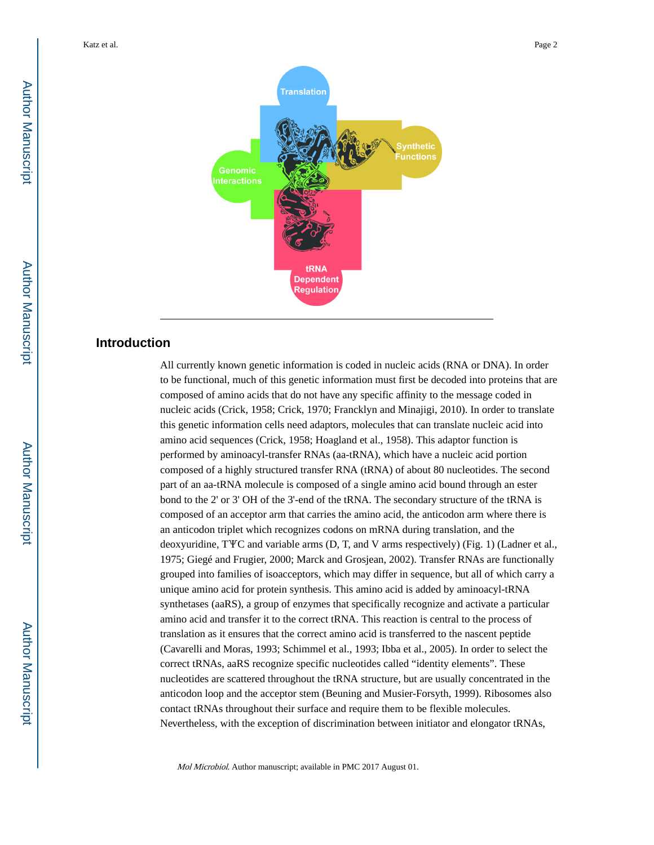

## **Introduction**

All currently known genetic information is coded in nucleic acids (RNA or DNA). In order to be functional, much of this genetic information must first be decoded into proteins that are composed of amino acids that do not have any specific affinity to the message coded in nucleic acids (Crick, 1958; Crick, 1970; Francklyn and Minajigi, 2010). In order to translate this genetic information cells need adaptors, molecules that can translate nucleic acid into amino acid sequences (Crick, 1958; Hoagland et al., 1958). This adaptor function is performed by aminoacyl-transfer RNAs (aa-tRNA), which have a nucleic acid portion composed of a highly structured transfer RNA (tRNA) of about 80 nucleotides. The second part of an aa-tRNA molecule is composed of a single amino acid bound through an ester bond to the 2' or 3' OH of the 3'-end of the tRNA. The secondary structure of the tRNA is composed of an acceptor arm that carries the amino acid, the anticodon arm where there is an anticodon triplet which recognizes codons on mRNA during translation, and the deoxyuridine, TΨC and variable arms (D, T, and V arms respectively) (Fig. 1) (Ladner et al., 1975; Giegé and Frugier, 2000; Marck and Grosjean, 2002). Transfer RNAs are functionally grouped into families of isoacceptors, which may differ in sequence, but all of which carry a unique amino acid for protein synthesis. This amino acid is added by aminoacyl-tRNA synthetases (aaRS), a group of enzymes that specifically recognize and activate a particular amino acid and transfer it to the correct tRNA. This reaction is central to the process of translation as it ensures that the correct amino acid is transferred to the nascent peptide (Cavarelli and Moras, 1993; Schimmel et al., 1993; Ibba et al., 2005). In order to select the correct tRNAs, aaRS recognize specific nucleotides called "identity elements". These nucleotides are scattered throughout the tRNA structure, but are usually concentrated in the anticodon loop and the acceptor stem (Beuning and Musier-Forsyth, 1999). Ribosomes also contact tRNAs throughout their surface and require them to be flexible molecules. Nevertheless, with the exception of discrimination between initiator and elongator tRNAs,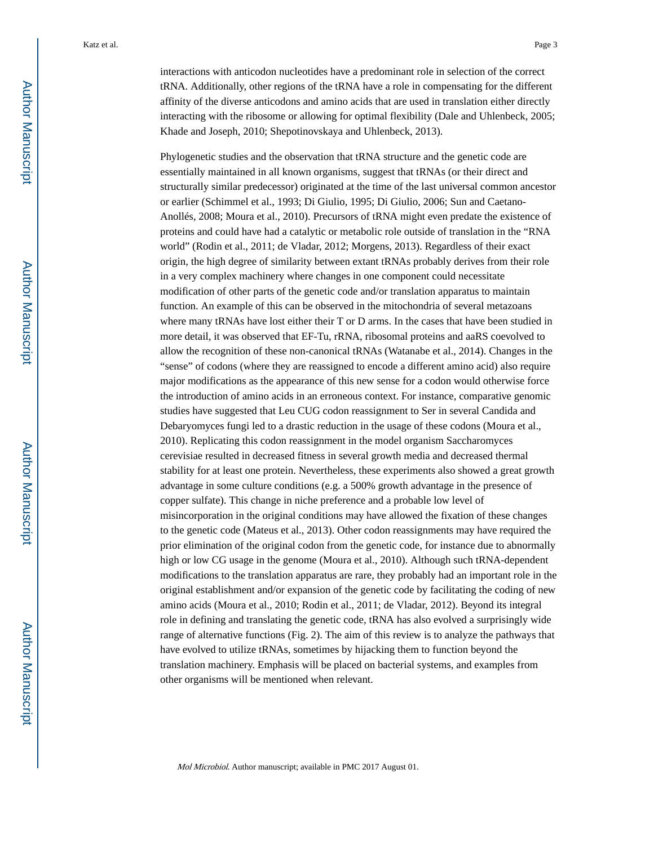interactions with anticodon nucleotides have a predominant role in selection of the correct tRNA. Additionally, other regions of the tRNA have a role in compensating for the different affinity of the diverse anticodons and amino acids that are used in translation either directly interacting with the ribosome or allowing for optimal flexibility (Dale and Uhlenbeck, 2005; Khade and Joseph, 2010; Shepotinovskaya and Uhlenbeck, 2013).

Phylogenetic studies and the observation that tRNA structure and the genetic code are essentially maintained in all known organisms, suggest that tRNAs (or their direct and structurally similar predecessor) originated at the time of the last universal common ancestor or earlier (Schimmel et al., 1993; Di Giulio, 1995; Di Giulio, 2006; Sun and Caetano-Anollés, 2008; Moura et al., 2010). Precursors of tRNA might even predate the existence of proteins and could have had a catalytic or metabolic role outside of translation in the "RNA world" (Rodin et al., 2011; de Vladar, 2012; Morgens, 2013). Regardless of their exact origin, the high degree of similarity between extant tRNAs probably derives from their role in a very complex machinery where changes in one component could necessitate modification of other parts of the genetic code and/or translation apparatus to maintain function. An example of this can be observed in the mitochondria of several metazoans where many tRNAs have lost either their T or D arms. In the cases that have been studied in more detail, it was observed that EF-Tu, rRNA, ribosomal proteins and aaRS coevolved to allow the recognition of these non-canonical tRNAs (Watanabe et al., 2014). Changes in the "sense" of codons (where they are reassigned to encode a different amino acid) also require major modifications as the appearance of this new sense for a codon would otherwise force the introduction of amino acids in an erroneous context. For instance, comparative genomic studies have suggested that Leu CUG codon reassignment to Ser in several Candida and Debaryomyces fungi led to a drastic reduction in the usage of these codons (Moura et al., 2010). Replicating this codon reassignment in the model organism Saccharomyces cerevisiae resulted in decreased fitness in several growth media and decreased thermal stability for at least one protein. Nevertheless, these experiments also showed a great growth advantage in some culture conditions (e.g. a 500% growth advantage in the presence of copper sulfate). This change in niche preference and a probable low level of misincorporation in the original conditions may have allowed the fixation of these changes to the genetic code (Mateus et al., 2013). Other codon reassignments may have required the prior elimination of the original codon from the genetic code, for instance due to abnormally high or low CG usage in the genome (Moura et al., 2010). Although such tRNA-dependent modifications to the translation apparatus are rare, they probably had an important role in the original establishment and/or expansion of the genetic code by facilitating the coding of new amino acids (Moura et al., 2010; Rodin et al., 2011; de Vladar, 2012). Beyond its integral role in defining and translating the genetic code, tRNA has also evolved a surprisingly wide range of alternative functions (Fig. 2). The aim of this review is to analyze the pathways that have evolved to utilize tRNAs, sometimes by hijacking them to function beyond the translation machinery. Emphasis will be placed on bacterial systems, and examples from other organisms will be mentioned when relevant.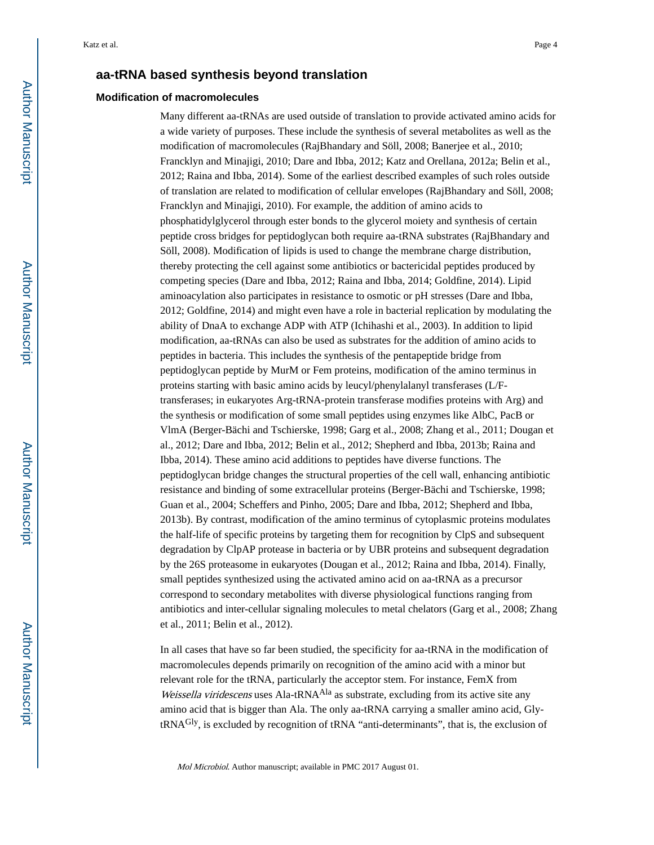#### **aa-tRNA based synthesis beyond translation**

#### **Modification of macromolecules**

Many different aa-tRNAs are used outside of translation to provide activated amino acids for a wide variety of purposes. These include the synthesis of several metabolites as well as the modification of macromolecules (RajBhandary and Söll, 2008; Banerjee et al., 2010; Francklyn and Minajigi, 2010; Dare and Ibba, 2012; Katz and Orellana, 2012a; Belin et al., 2012; Raina and Ibba, 2014). Some of the earliest described examples of such roles outside of translation are related to modification of cellular envelopes (RajBhandary and Söll, 2008; Francklyn and Minajigi, 2010). For example, the addition of amino acids to phosphatidylglycerol through ester bonds to the glycerol moiety and synthesis of certain peptide cross bridges for peptidoglycan both require aa-tRNA substrates (RajBhandary and Söll, 2008). Modification of lipids is used to change the membrane charge distribution, thereby protecting the cell against some antibiotics or bactericidal peptides produced by competing species (Dare and Ibba, 2012; Raina and Ibba, 2014; Goldfine, 2014). Lipid aminoacylation also participates in resistance to osmotic or pH stresses (Dare and Ibba, 2012; Goldfine, 2014) and might even have a role in bacterial replication by modulating the ability of DnaA to exchange ADP with ATP (Ichihashi et al., 2003). In addition to lipid modification, aa-tRNAs can also be used as substrates for the addition of amino acids to peptides in bacteria. This includes the synthesis of the pentapeptide bridge from peptidoglycan peptide by MurM or Fem proteins, modification of the amino terminus in proteins starting with basic amino acids by leucyl/phenylalanyl transferases (L/Ftransferases; in eukaryotes Arg-tRNA-protein transferase modifies proteins with Arg) and the synthesis or modification of some small peptides using enzymes like AlbC, PacB or VlmA (Berger-Bächi and Tschierske, 1998; Garg et al., 2008; Zhang et al., 2011; Dougan et al., 2012; Dare and Ibba, 2012; Belin et al., 2012; Shepherd and Ibba, 2013b; Raina and Ibba, 2014). These amino acid additions to peptides have diverse functions. The peptidoglycan bridge changes the structural properties of the cell wall, enhancing antibiotic resistance and binding of some extracellular proteins (Berger-Bächi and Tschierske, 1998; Guan et al., 2004; Scheffers and Pinho, 2005; Dare and Ibba, 2012; Shepherd and Ibba, 2013b). By contrast, modification of the amino terminus of cytoplasmic proteins modulates the half-life of specific proteins by targeting them for recognition by ClpS and subsequent degradation by ClpAP protease in bacteria or by UBR proteins and subsequent degradation by the 26S proteasome in eukaryotes (Dougan et al., 2012; Raina and Ibba, 2014). Finally, small peptides synthesized using the activated amino acid on aa-tRNA as a precursor correspond to secondary metabolites with diverse physiological functions ranging from antibiotics and inter-cellular signaling molecules to metal chelators (Garg et al., 2008; Zhang et al., 2011; Belin et al., 2012).

In all cases that have so far been studied, the specificity for aa-tRNA in the modification of macromolecules depends primarily on recognition of the amino acid with a minor but relevant role for the tRNA, particularly the acceptor stem. For instance, FemX from Weissella viridescens uses Ala-tRNA<sup>Ala</sup> as substrate, excluding from its active site any amino acid that is bigger than Ala. The only aa-tRNA carrying a smaller amino acid, GlytRNAGly, is excluded by recognition of tRNA "anti-determinants", that is, the exclusion of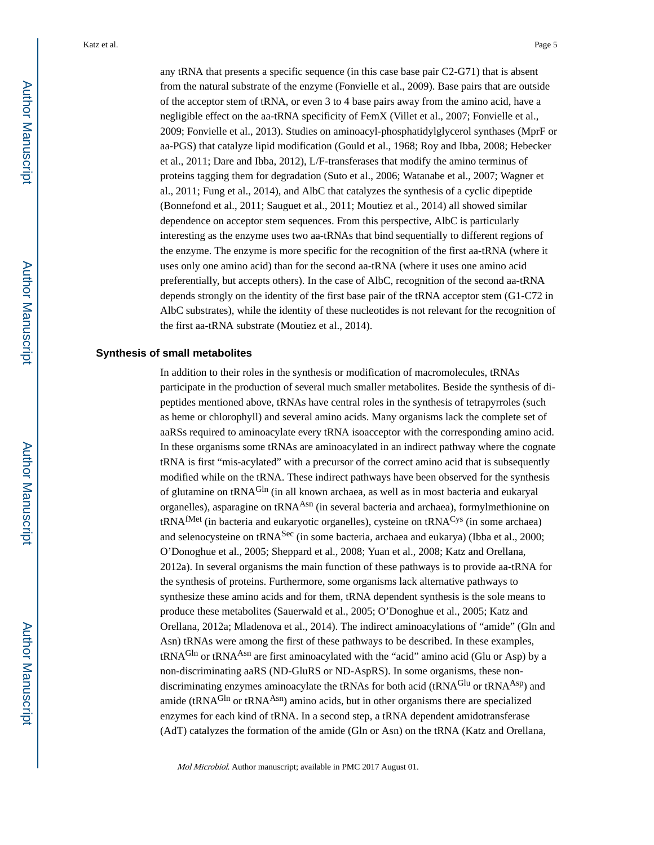any tRNA that presents a specific sequence (in this case base pair C2-G71) that is absent from the natural substrate of the enzyme (Fonvielle et al., 2009). Base pairs that are outside of the acceptor stem of tRNA, or even 3 to 4 base pairs away from the amino acid, have a negligible effect on the aa-tRNA specificity of FemX (Villet et al., 2007; Fonvielle et al., 2009; Fonvielle et al., 2013). Studies on aminoacyl-phosphatidylglycerol synthases (MprF or aa-PGS) that catalyze lipid modification (Gould et al., 1968; Roy and Ibba, 2008; Hebecker et al., 2011; Dare and Ibba, 2012), L/F-transferases that modify the amino terminus of proteins tagging them for degradation (Suto et al., 2006; Watanabe et al., 2007; Wagner et al., 2011; Fung et al., 2014), and AlbC that catalyzes the synthesis of a cyclic dipeptide (Bonnefond et al., 2011; Sauguet et al., 2011; Moutiez et al., 2014) all showed similar dependence on acceptor stem sequences. From this perspective, AlbC is particularly interesting as the enzyme uses two aa-tRNAs that bind sequentially to different regions of the enzyme. The enzyme is more specific for the recognition of the first aa-tRNA (where it uses only one amino acid) than for the second aa-tRNA (where it uses one amino acid preferentially, but accepts others). In the case of AlbC, recognition of the second aa-tRNA depends strongly on the identity of the first base pair of the tRNA acceptor stem (G1-C72 in AlbC substrates), while the identity of these nucleotides is not relevant for the recognition of the first aa-tRNA substrate (Moutiez et al., 2014).

#### **Synthesis of small metabolites**

In addition to their roles in the synthesis or modification of macromolecules, tRNAs participate in the production of several much smaller metabolites. Beside the synthesis of dipeptides mentioned above, tRNAs have central roles in the synthesis of tetrapyrroles (such as heme or chlorophyll) and several amino acids. Many organisms lack the complete set of aaRSs required to aminoacylate every tRNA isoacceptor with the corresponding amino acid. In these organisms some tRNAs are aminoacylated in an indirect pathway where the cognate tRNA is first "mis-acylated" with a precursor of the correct amino acid that is subsequently modified while on the tRNA. These indirect pathways have been observed for the synthesis of glutamine on tRNA<sup>Gln</sup> (in all known archaea, as well as in most bacteria and eukaryal organelles), asparagine on tRNA<sup>Asn</sup> (in several bacteria and archaea), formylmethionine on  $tRNA<sup>fMet</sup>$  (in bacteria and eukaryotic organelles), cysteine on  $tRNA<sup>Cys</sup>$  (in some archaea) and selenocysteine on tRNASec (in some bacteria, archaea and eukarya) (Ibba et al., 2000; O'Donoghue et al., 2005; Sheppard et al., 2008; Yuan et al., 2008; Katz and Orellana, 2012a). In several organisms the main function of these pathways is to provide aa-tRNA for the synthesis of proteins. Furthermore, some organisms lack alternative pathways to synthesize these amino acids and for them, tRNA dependent synthesis is the sole means to produce these metabolites (Sauerwald et al., 2005; O'Donoghue et al., 2005; Katz and Orellana, 2012a; Mladenova et al., 2014). The indirect aminoacylations of "amide" (Gln and Asn) tRNAs were among the first of these pathways to be described. In these examples, tRNA<sup>Gln</sup> or tRNA<sup>Asn</sup> are first aminoacylated with the "acid" amino acid (Glu or Asp) by a non-discriminating aaRS (ND-GluRS or ND-AspRS). In some organisms, these nondiscriminating enzymes aminoacylate the tRNAs for both acid (tRNA<sup>Glu</sup> or tRNA<sup>Asp</sup>) and amide (tRNA<sup>Gln</sup> or tRNA<sup>Asn</sup>) amino acids, but in other organisms there are specialized enzymes for each kind of tRNA. In a second step, a tRNA dependent amidotransferase (AdT) catalyzes the formation of the amide (Gln or Asn) on the tRNA (Katz and Orellana,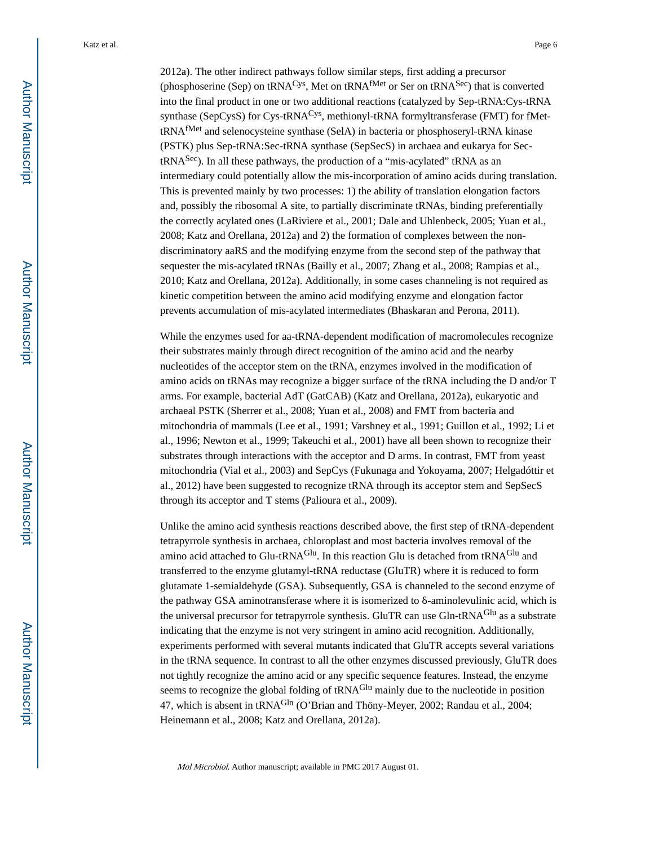2012a). The other indirect pathways follow similar steps, first adding a precursor (phosphoserine (Sep) on tRNA<sup>Cys</sup>, Met on tRNA<sup>fMet</sup> or Ser on tRNA<sup>Sec</sup>) that is converted into the final product in one or two additional reactions (catalyzed by Sep-tRNA:Cys-tRNA synthase (SepCysS) for Cys-tRNA<sup>Cys</sup>, methionyl-tRNA formyltransferase (FMT) for fMettRNAfMet and selenocysteine synthase (SelA) in bacteria or phosphoseryl-tRNA kinase (PSTK) plus Sep-tRNA:Sec-tRNA synthase (SepSecS) in archaea and eukarya for Sec $tRNA<sup>Sec</sup>$ ). In all these pathways, the production of a "mis-acylated" tRNA as an intermediary could potentially allow the mis-incorporation of amino acids during translation. This is prevented mainly by two processes: 1) the ability of translation elongation factors and, possibly the ribosomal A site, to partially discriminate tRNAs, binding preferentially the correctly acylated ones (LaRiviere et al., 2001; Dale and Uhlenbeck, 2005; Yuan et al., 2008; Katz and Orellana, 2012a) and 2) the formation of complexes between the nondiscriminatory aaRS and the modifying enzyme from the second step of the pathway that sequester the mis-acylated tRNAs (Bailly et al., 2007; Zhang et al., 2008; Rampias et al., 2010; Katz and Orellana, 2012a). Additionally, in some cases channeling is not required as kinetic competition between the amino acid modifying enzyme and elongation factor prevents accumulation of mis-acylated intermediates (Bhaskaran and Perona, 2011).

While the enzymes used for aa-tRNA-dependent modification of macromolecules recognize their substrates mainly through direct recognition of the amino acid and the nearby nucleotides of the acceptor stem on the tRNA, enzymes involved in the modification of amino acids on tRNAs may recognize a bigger surface of the tRNA including the D and/or T arms. For example, bacterial AdT (GatCAB) (Katz and Orellana, 2012a), eukaryotic and archaeal PSTK (Sherrer et al., 2008; Yuan et al., 2008) and FMT from bacteria and mitochondria of mammals (Lee et al., 1991; Varshney et al., 1991; Guillon et al., 1992; Li et al., 1996; Newton et al., 1999; Takeuchi et al., 2001) have all been shown to recognize their substrates through interactions with the acceptor and D arms. In contrast, FMT from yeast mitochondria (Vial et al., 2003) and SepCys (Fukunaga and Yokoyama, 2007; Helgadóttir et al., 2012) have been suggested to recognize tRNA through its acceptor stem and SepSecS through its acceptor and T stems (Palioura et al., 2009).

Unlike the amino acid synthesis reactions described above, the first step of tRNA-dependent tetrapyrrole synthesis in archaea, chloroplast and most bacteria involves removal of the amino acid attached to Glu-tRNA<sup>Glu</sup>. In this reaction Glu is detached from tRNA<sup>Glu</sup> and transferred to the enzyme glutamyl-tRNA reductase (GluTR) where it is reduced to form glutamate 1-semialdehyde (GSA). Subsequently, GSA is channeled to the second enzyme of the pathway GSA aminotransferase where it is isomerized to δ-aminolevulinic acid, which is the universal precursor for tetrapyrrole synthesis. GluTR can use Gln-tRNA<sup>Glu</sup> as a substrate indicating that the enzyme is not very stringent in amino acid recognition. Additionally, experiments performed with several mutants indicated that GluTR accepts several variations in the tRNA sequence. In contrast to all the other enzymes discussed previously, GluTR does not tightly recognize the amino acid or any specific sequence features. Instead, the enzyme seems to recognize the global folding of tRNA<sup>Glu</sup> mainly due to the nucleotide in position 47, which is absent in tRNA<sup>Gln</sup> (O'Brian and Thöny-Meyer, 2002; Randau et al., 2004; Heinemann et al., 2008; Katz and Orellana, 2012a).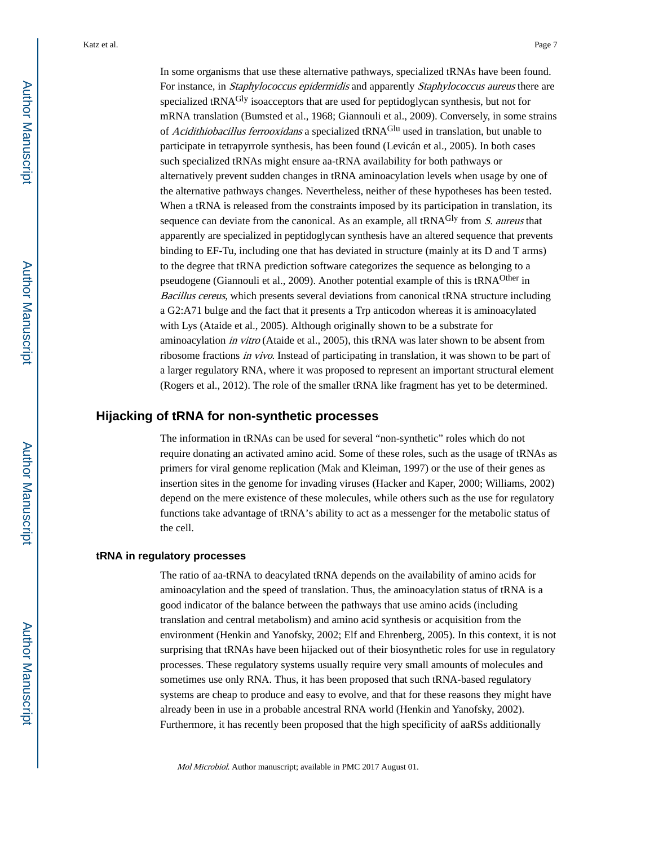In some organisms that use these alternative pathways, specialized tRNAs have been found. For instance, in Staphylococcus epidermidis and apparently Staphylococcus aureus there are specialized tRNAGly isoacceptors that are used for peptidoglycan synthesis, but not for mRNA translation (Bumsted et al., 1968; Giannouli et al., 2009). Conversely, in some strains of Acidithiobacillus ferrooxidans a specialized tRNA<sup>Glu</sup> used in translation, but unable to participate in tetrapyrrole synthesis, has been found (Levicán et al., 2005). In both cases such specialized tRNAs might ensure aa-tRNA availability for both pathways or alternatively prevent sudden changes in tRNA aminoacylation levels when usage by one of the alternative pathways changes. Nevertheless, neither of these hypotheses has been tested. When a tRNA is released from the constraints imposed by its participation in translation, its sequence can deviate from the canonical. As an example, all  $tRNA<sup>Gly</sup>$  from S. aureus that apparently are specialized in peptidoglycan synthesis have an altered sequence that prevents binding to EF-Tu, including one that has deviated in structure (mainly at its D and T arms) to the degree that tRNA prediction software categorizes the sequence as belonging to a pseudogene (Giannouli et al., 2009). Another potential example of this is tRNAOther in Bacillus cereus, which presents several deviations from canonical tRNA structure including a G2:A71 bulge and the fact that it presents a Trp anticodon whereas it is aminoacylated with Lys (Ataide et al., 2005). Although originally shown to be a substrate for aminoacylation in vitro (Ataide et al., 2005), this tRNA was later shown to be absent from ribosome fractions in vivo. Instead of participating in translation, it was shown to be part of a larger regulatory RNA, where it was proposed to represent an important structural element (Rogers et al., 2012). The role of the smaller tRNA like fragment has yet to be determined.

#### **Hijacking of tRNA for non-synthetic processes**

The information in tRNAs can be used for several "non-synthetic" roles which do not require donating an activated amino acid. Some of these roles, such as the usage of tRNAs as primers for viral genome replication (Mak and Kleiman, 1997) or the use of their genes as insertion sites in the genome for invading viruses (Hacker and Kaper, 2000; Williams, 2002) depend on the mere existence of these molecules, while others such as the use for regulatory functions take advantage of tRNA's ability to act as a messenger for the metabolic status of the cell.

#### **tRNA in regulatory processes**

The ratio of aa-tRNA to deacylated tRNA depends on the availability of amino acids for aminoacylation and the speed of translation. Thus, the aminoacylation status of tRNA is a good indicator of the balance between the pathways that use amino acids (including translation and central metabolism) and amino acid synthesis or acquisition from the environment (Henkin and Yanofsky, 2002; Elf and Ehrenberg, 2005). In this context, it is not surprising that tRNAs have been hijacked out of their biosynthetic roles for use in regulatory processes. These regulatory systems usually require very small amounts of molecules and sometimes use only RNA. Thus, it has been proposed that such tRNA-based regulatory systems are cheap to produce and easy to evolve, and that for these reasons they might have already been in use in a probable ancestral RNA world (Henkin and Yanofsky, 2002). Furthermore, it has recently been proposed that the high specificity of aaRSs additionally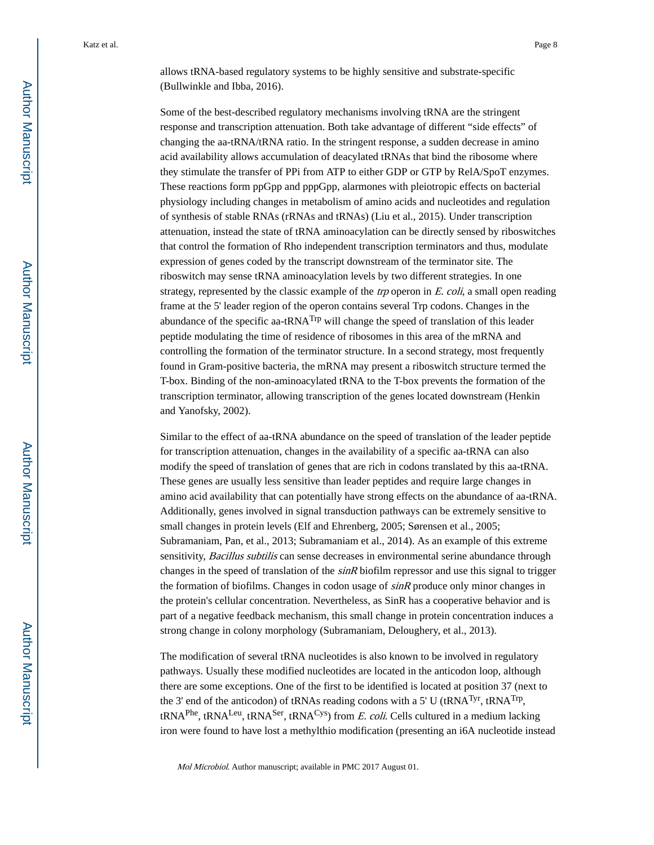allows tRNA-based regulatory systems to be highly sensitive and substrate-specific (Bullwinkle and Ibba, 2016).

Some of the best-described regulatory mechanisms involving tRNA are the stringent response and transcription attenuation. Both take advantage of different "side effects" of changing the aa-tRNA/tRNA ratio. In the stringent response, a sudden decrease in amino acid availability allows accumulation of deacylated tRNAs that bind the ribosome where they stimulate the transfer of PPi from ATP to either GDP or GTP by RelA/SpoT enzymes. These reactions form ppGpp and pppGpp, alarmones with pleiotropic effects on bacterial physiology including changes in metabolism of amino acids and nucleotides and regulation of synthesis of stable RNAs (rRNAs and tRNAs) (Liu et al., 2015). Under transcription attenuation, instead the state of tRNA aminoacylation can be directly sensed by riboswitches that control the formation of Rho independent transcription terminators and thus, modulate expression of genes coded by the transcript downstream of the terminator site. The riboswitch may sense tRNA aminoacylation levels by two different strategies. In one strategy, represented by the classic example of the *trp* operon in  $E$ . *coli*, a small open reading frame at the 5' leader region of the operon contains several Trp codons. Changes in the abundance of the specific aa-tRNA<sup>Trp</sup> will change the speed of translation of this leader peptide modulating the time of residence of ribosomes in this area of the mRNA and controlling the formation of the terminator structure. In a second strategy, most frequently found in Gram-positive bacteria, the mRNA may present a riboswitch structure termed the T-box. Binding of the non-aminoacylated tRNA to the T-box prevents the formation of the transcription terminator, allowing transcription of the genes located downstream (Henkin and Yanofsky, 2002).

Similar to the effect of aa-tRNA abundance on the speed of translation of the leader peptide for transcription attenuation, changes in the availability of a specific aa-tRNA can also modify the speed of translation of genes that are rich in codons translated by this aa-tRNA. These genes are usually less sensitive than leader peptides and require large changes in amino acid availability that can potentially have strong effects on the abundance of aa-tRNA. Additionally, genes involved in signal transduction pathways can be extremely sensitive to small changes in protein levels (Elf and Ehrenberg, 2005; Sørensen et al., 2005; Subramaniam, Pan, et al., 2013; Subramaniam et al., 2014). As an example of this extreme sensitivity, Bacillus subtilis can sense decreases in environmental serine abundance through changes in the speed of translation of the *sinR* biofilm repressor and use this signal to trigger the formation of biofilms. Changes in codon usage of  $sinR$  produce only minor changes in the protein's cellular concentration. Nevertheless, as SinR has a cooperative behavior and is part of a negative feedback mechanism, this small change in protein concentration induces a strong change in colony morphology (Subramaniam, Deloughery, et al., 2013).

The modification of several tRNA nucleotides is also known to be involved in regulatory pathways. Usually these modified nucleotides are located in the anticodon loop, although there are some exceptions. One of the first to be identified is located at position 37 (next to the 3' end of the anticodon) of tRNAs reading codons with a 5' U (tRNA<sup>Tyr</sup>, tRNA<sup>Trp</sup>, tRNA<sup>Phe</sup>, tRNA<sup>Leu</sup>, tRNA<sup>Ser</sup>, tRNA<sup>Cys</sup>) from *E. coli*. Cells cultured in a medium lacking iron were found to have lost a methylthio modification (presenting an i6A nucleotide instead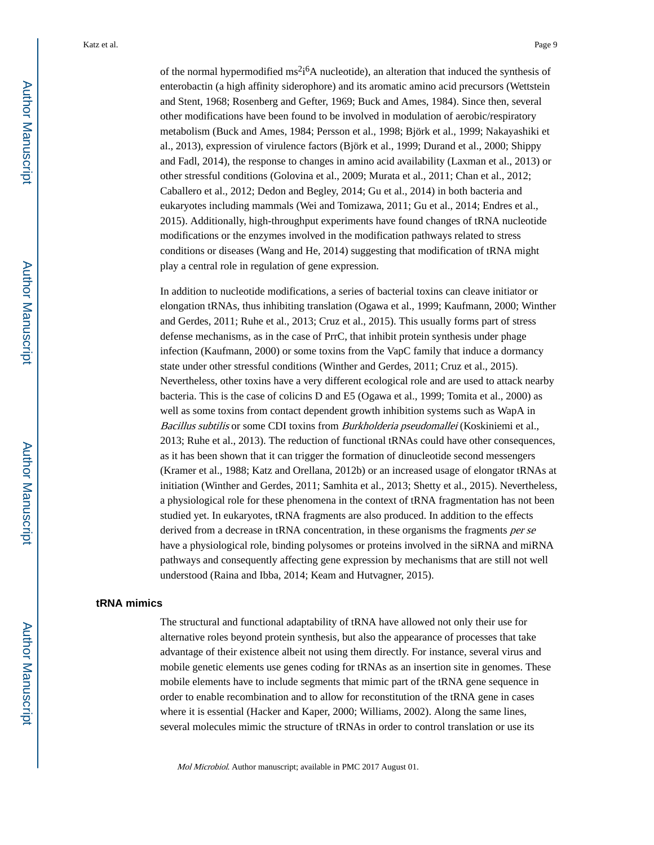of the normal hypermodified  $ms^2i^6A$  nucleotide), an alteration that induced the synthesis of enterobactin (a high affinity siderophore) and its aromatic amino acid precursors (Wettstein and Stent, 1968; Rosenberg and Gefter, 1969; Buck and Ames, 1984). Since then, several other modifications have been found to be involved in modulation of aerobic/respiratory metabolism (Buck and Ames, 1984; Persson et al., 1998; Björk et al., 1999; Nakayashiki et al., 2013), expression of virulence factors (Björk et al., 1999; Durand et al., 2000; Shippy and Fadl, 2014), the response to changes in amino acid availability (Laxman et al., 2013) or other stressful conditions (Golovina et al., 2009; Murata et al., 2011; Chan et al., 2012; Caballero et al., 2012; Dedon and Begley, 2014; Gu et al., 2014) in both bacteria and eukaryotes including mammals (Wei and Tomizawa, 2011; Gu et al., 2014; Endres et al., 2015). Additionally, high-throughput experiments have found changes of tRNA nucleotide modifications or the enzymes involved in the modification pathways related to stress conditions or diseases (Wang and He, 2014) suggesting that modification of tRNA might play a central role in regulation of gene expression.

In addition to nucleotide modifications, a series of bacterial toxins can cleave initiator or elongation tRNAs, thus inhibiting translation (Ogawa et al., 1999; Kaufmann, 2000; Winther and Gerdes, 2011; Ruhe et al., 2013; Cruz et al., 2015). This usually forms part of stress defense mechanisms, as in the case of PrrC, that inhibit protein synthesis under phage infection (Kaufmann, 2000) or some toxins from the VapC family that induce a dormancy state under other stressful conditions (Winther and Gerdes, 2011; Cruz et al., 2015). Nevertheless, other toxins have a very different ecological role and are used to attack nearby bacteria. This is the case of colicins D and E5 (Ogawa et al., 1999; Tomita et al., 2000) as well as some toxins from contact dependent growth inhibition systems such as WapA in Bacillus subtilis or some CDI toxins from Burkholderia pseudomallei (Koskiniemi et al., 2013; Ruhe et al., 2013). The reduction of functional tRNAs could have other consequences, as it has been shown that it can trigger the formation of dinucleotide second messengers (Kramer et al., 1988; Katz and Orellana, 2012b) or an increased usage of elongator tRNAs at initiation (Winther and Gerdes, 2011; Samhita et al., 2013; Shetty et al., 2015). Nevertheless, a physiological role for these phenomena in the context of tRNA fragmentation has not been studied yet. In eukaryotes, tRNA fragments are also produced. In addition to the effects derived from a decrease in tRNA concentration, in these organisms the fragments *per se* have a physiological role, binding polysomes or proteins involved in the siRNA and miRNA pathways and consequently affecting gene expression by mechanisms that are still not well understood (Raina and Ibba, 2014; Keam and Hutvagner, 2015).

#### **tRNA mimics**

The structural and functional adaptability of tRNA have allowed not only their use for alternative roles beyond protein synthesis, but also the appearance of processes that take advantage of their existence albeit not using them directly. For instance, several virus and mobile genetic elements use genes coding for tRNAs as an insertion site in genomes. These mobile elements have to include segments that mimic part of the tRNA gene sequence in order to enable recombination and to allow for reconstitution of the tRNA gene in cases where it is essential (Hacker and Kaper, 2000; Williams, 2002). Along the same lines, several molecules mimic the structure of tRNAs in order to control translation or use its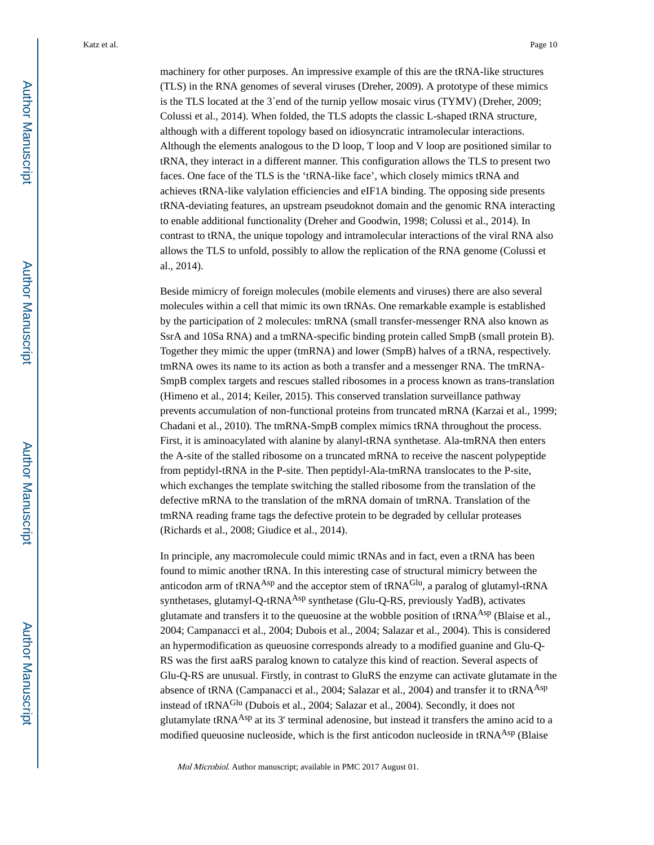machinery for other purposes. An impressive example of this are the tRNA-like structures (TLS) in the RNA genomes of several viruses (Dreher, 2009). A prototype of these mimics is the TLS located at the 3`end of the turnip yellow mosaic virus (TYMV) (Dreher, 2009; Colussi et al., 2014). When folded, the TLS adopts the classic L-shaped tRNA structure, although with a different topology based on idiosyncratic intramolecular interactions. Although the elements analogous to the D loop, T loop and V loop are positioned similar to tRNA, they interact in a different manner. This configuration allows the TLS to present two faces. One face of the TLS is the 'tRNA-like face', which closely mimics tRNA and achieves tRNA-like valylation efficiencies and eIF1A binding. The opposing side presents tRNA-deviating features, an upstream pseudoknot domain and the genomic RNA interacting to enable additional functionality (Dreher and Goodwin, 1998; Colussi et al., 2014). In contrast to tRNA, the unique topology and intramolecular interactions of the viral RNA also allows the TLS to unfold, possibly to allow the replication of the RNA genome (Colussi et al., 2014).

Beside mimicry of foreign molecules (mobile elements and viruses) there are also several molecules within a cell that mimic its own tRNAs. One remarkable example is established by the participation of 2 molecules: tmRNA (small transfer-messenger RNA also known as SsrA and 10Sa RNA) and a tmRNA-specific binding protein called SmpB (small protein B). Together they mimic the upper (tmRNA) and lower (SmpB) halves of a tRNA, respectively. tmRNA owes its name to its action as both a transfer and a messenger RNA. The tmRNA-SmpB complex targets and rescues stalled ribosomes in a process known as trans-translation (Himeno et al., 2014; Keiler, 2015). This conserved translation surveillance pathway prevents accumulation of non-functional proteins from truncated mRNA (Karzai et al., 1999; Chadani et al., 2010). The tmRNA-SmpB complex mimics tRNA throughout the process. First, it is aminoacylated with alanine by alanyl-tRNA synthetase. Ala-tmRNA then enters the A-site of the stalled ribosome on a truncated mRNA to receive the nascent polypeptide from peptidyl-tRNA in the P-site. Then peptidyl-Ala-tmRNA translocates to the P-site, which exchanges the template switching the stalled ribosome from the translation of the defective mRNA to the translation of the mRNA domain of tmRNA. Translation of the tmRNA reading frame tags the defective protein to be degraded by cellular proteases (Richards et al., 2008; Giudice et al., 2014).

In principle, any macromolecule could mimic tRNAs and in fact, even a tRNA has been found to mimic another tRNA. In this interesting case of structural mimicry between the anticodon arm of tRNA<sup>Asp</sup> and the acceptor stem of tRNA<sup>Glu</sup>, a paralog of glutamyl-tRNA synthetases, glutamyl-Q-tRNA<sup>Asp</sup> synthetase (Glu-Q-RS, previously YadB), activates glutamate and transfers it to the queuosine at the wobble position of tRNA<sup>Asp</sup> (Blaise et al., 2004; Campanacci et al., 2004; Dubois et al., 2004; Salazar et al., 2004). This is considered an hypermodification as queuosine corresponds already to a modified guanine and Glu-Q-RS was the first aaRS paralog known to catalyze this kind of reaction. Several aspects of Glu-Q-RS are unusual. Firstly, in contrast to GluRS the enzyme can activate glutamate in the absence of tRNA (Campanacci et al., 2004; Salazar et al., 2004) and transfer it to tRNA<sup>Asp</sup> instead of tRNAGlu (Dubois et al., 2004; Salazar et al., 2004). Secondly, it does not glutamylate tRNA<sup>Asp</sup> at its 3' terminal adenosine, but instead it transfers the amino acid to a modified queuosine nucleoside, which is the first anticodon nucleoside in tRNA<sup>Asp</sup> (Blaise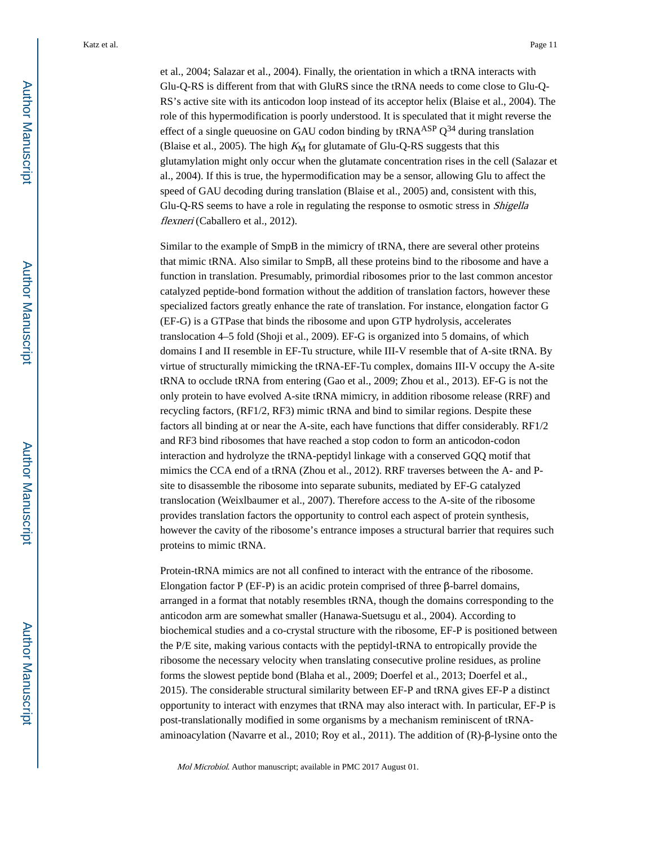et al., 2004; Salazar et al., 2004). Finally, the orientation in which a tRNA interacts with Glu-Q-RS is different from that with GluRS since the tRNA needs to come close to Glu-Q-RS's active site with its anticodon loop instead of its acceptor helix (Blaise et al., 2004). The role of this hypermodification is poorly understood. It is speculated that it might reverse the effect of a single queuosine on GAU codon binding by  $tRNA<sup>ASP</sup> Q<sup>34</sup>$  during translation (Blaise et al., 2005). The high  $K_M$  for glutamate of Glu-Q-RS suggests that this glutamylation might only occur when the glutamate concentration rises in the cell (Salazar et al., 2004). If this is true, the hypermodification may be a sensor, allowing Glu to affect the speed of GAU decoding during translation (Blaise et al., 2005) and, consistent with this, Glu-Q-RS seems to have a role in regulating the response to osmotic stress in Shigella flexneri (Caballero et al., 2012).

Similar to the example of SmpB in the mimicry of tRNA, there are several other proteins that mimic tRNA. Also similar to SmpB, all these proteins bind to the ribosome and have a function in translation. Presumably, primordial ribosomes prior to the last common ancestor catalyzed peptide-bond formation without the addition of translation factors, however these specialized factors greatly enhance the rate of translation. For instance, elongation factor G (EF-G) is a GTPase that binds the ribosome and upon GTP hydrolysis, accelerates translocation 4–5 fold (Shoji et al., 2009). EF-G is organized into 5 domains, of which domains I and II resemble in EF-Tu structure, while III-V resemble that of A-site tRNA. By virtue of structurally mimicking the tRNA-EF-Tu complex, domains III-V occupy the A-site tRNA to occlude tRNA from entering (Gao et al., 2009; Zhou et al., 2013). EF-G is not the only protein to have evolved A-site tRNA mimicry, in addition ribosome release (RRF) and recycling factors, (RF1/2, RF3) mimic tRNA and bind to similar regions. Despite these factors all binding at or near the A-site, each have functions that differ considerably. RF1/2 and RF3 bind ribosomes that have reached a stop codon to form an anticodon-codon interaction and hydrolyze the tRNA-peptidyl linkage with a conserved GQQ motif that mimics the CCA end of a tRNA (Zhou et al., 2012). RRF traverses between the A- and Psite to disassemble the ribosome into separate subunits, mediated by EF-G catalyzed translocation (Weixlbaumer et al., 2007). Therefore access to the A-site of the ribosome provides translation factors the opportunity to control each aspect of protein synthesis, however the cavity of the ribosome's entrance imposes a structural barrier that requires such proteins to mimic tRNA.

Protein-tRNA mimics are not all confined to interact with the entrance of the ribosome. Elongation factor P (EF-P) is an acidic protein comprised of three β-barrel domains, arranged in a format that notably resembles tRNA, though the domains corresponding to the anticodon arm are somewhat smaller (Hanawa-Suetsugu et al., 2004). According to biochemical studies and a co-crystal structure with the ribosome, EF-P is positioned between the P/E site, making various contacts with the peptidyl-tRNA to entropically provide the ribosome the necessary velocity when translating consecutive proline residues, as proline forms the slowest peptide bond (Blaha et al., 2009; Doerfel et al., 2013; Doerfel et al., 2015). The considerable structural similarity between EF-P and tRNA gives EF-P a distinct opportunity to interact with enzymes that tRNA may also interact with. In particular, EF-P is post-translationally modified in some organisms by a mechanism reminiscent of tRNAaminoacylation (Navarre et al., 2010; Roy et al., 2011). The addition of (R)-β-lysine onto the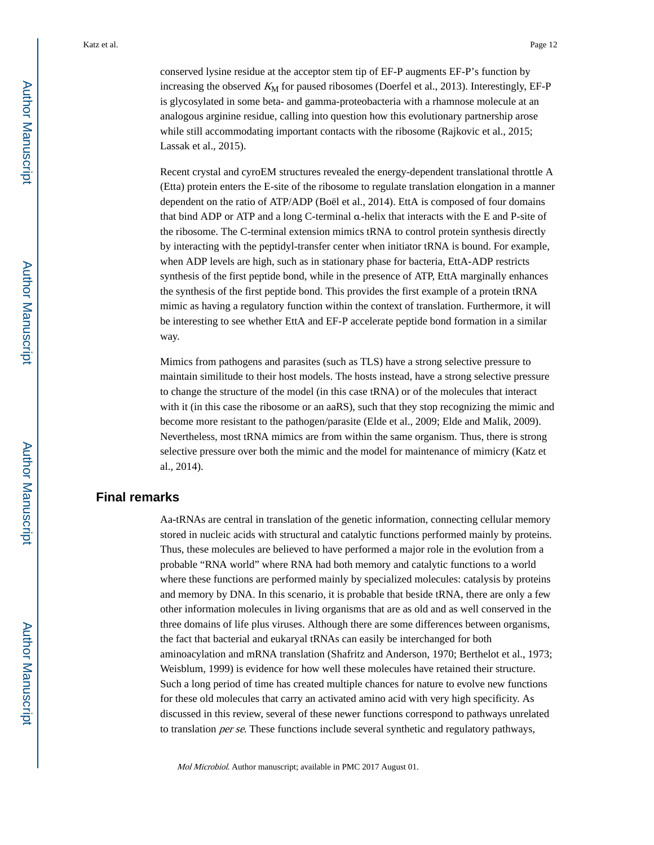conserved lysine residue at the acceptor stem tip of EF-P augments EF-P's function by increasing the observed  $K_M$  for paused ribosomes (Doerfel et al., 2013). Interestingly, EF-P is glycosylated in some beta- and gamma-proteobacteria with a rhamnose molecule at an analogous arginine residue, calling into question how this evolutionary partnership arose while still accommodating important contacts with the ribosome (Rajkovic et al., 2015; Lassak et al., 2015).

Recent crystal and cyroEM structures revealed the energy-dependent translational throttle A (Etta) protein enters the E-site of the ribosome to regulate translation elongation in a manner dependent on the ratio of ATP/ADP (Boël et al., 2014). EttA is composed of four domains that bind ADP or ATP and a long C-terminal α-helix that interacts with the E and P-site of the ribosome. The C-terminal extension mimics tRNA to control protein synthesis directly by interacting with the peptidyl-transfer center when initiator tRNA is bound. For example, when ADP levels are high, such as in stationary phase for bacteria, EttA-ADP restricts synthesis of the first peptide bond, while in the presence of ATP, EttA marginally enhances the synthesis of the first peptide bond. This provides the first example of a protein tRNA mimic as having a regulatory function within the context of translation. Furthermore, it will be interesting to see whether EttA and EF-P accelerate peptide bond formation in a similar way.

Mimics from pathogens and parasites (such as TLS) have a strong selective pressure to maintain similitude to their host models. The hosts instead, have a strong selective pressure to change the structure of the model (in this case tRNA) or of the molecules that interact with it (in this case the ribosome or an aaRS), such that they stop recognizing the mimic and become more resistant to the pathogen/parasite (Elde et al., 2009; Elde and Malik, 2009). Nevertheless, most tRNA mimics are from within the same organism. Thus, there is strong selective pressure over both the mimic and the model for maintenance of mimicry (Katz et al., 2014).

#### **Final remarks**

Aa-tRNAs are central in translation of the genetic information, connecting cellular memory stored in nucleic acids with structural and catalytic functions performed mainly by proteins. Thus, these molecules are believed to have performed a major role in the evolution from a probable "RNA world" where RNA had both memory and catalytic functions to a world where these functions are performed mainly by specialized molecules: catalysis by proteins and memory by DNA. In this scenario, it is probable that beside tRNA, there are only a few other information molecules in living organisms that are as old and as well conserved in the three domains of life plus viruses. Although there are some differences between organisms, the fact that bacterial and eukaryal tRNAs can easily be interchanged for both aminoacylation and mRNA translation (Shafritz and Anderson, 1970; Berthelot et al., 1973; Weisblum, 1999) is evidence for how well these molecules have retained their structure. Such a long period of time has created multiple chances for nature to evolve new functions for these old molecules that carry an activated amino acid with very high specificity. As discussed in this review, several of these newer functions correspond to pathways unrelated to translation *per se*. These functions include several synthetic and regulatory pathways,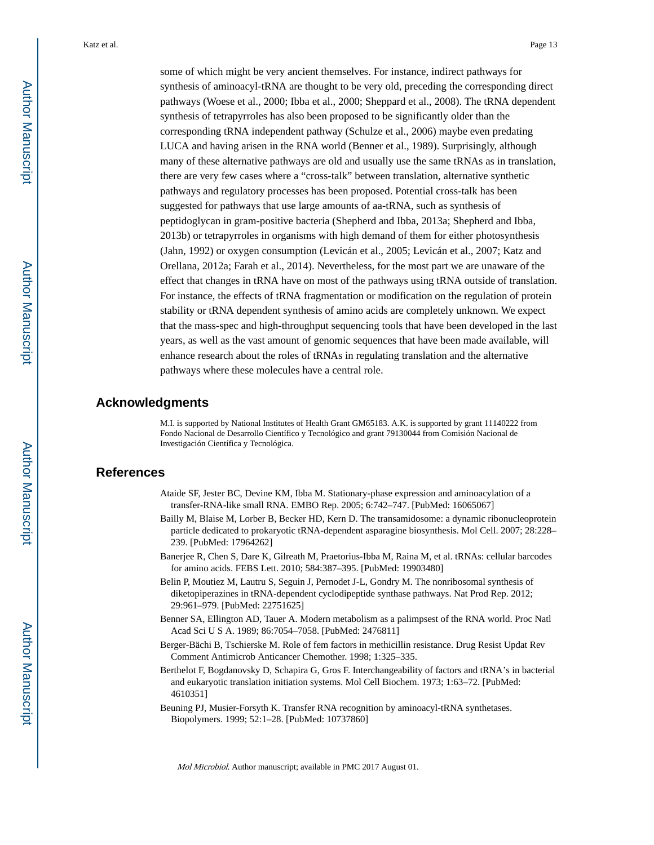some of which might be very ancient themselves. For instance, indirect pathways for synthesis of aminoacyl-tRNA are thought to be very old, preceding the corresponding direct pathways (Woese et al., 2000; Ibba et al., 2000; Sheppard et al., 2008). The tRNA dependent synthesis of tetrapyrroles has also been proposed to be significantly older than the corresponding tRNA independent pathway (Schulze et al., 2006) maybe even predating LUCA and having arisen in the RNA world (Benner et al., 1989). Surprisingly, although many of these alternative pathways are old and usually use the same tRNAs as in translation, there are very few cases where a "cross-talk" between translation, alternative synthetic pathways and regulatory processes has been proposed. Potential cross-talk has been suggested for pathways that use large amounts of aa-tRNA, such as synthesis of peptidoglycan in gram-positive bacteria (Shepherd and Ibba, 2013a; Shepherd and Ibba, 2013b) or tetrapyrroles in organisms with high demand of them for either photosynthesis (Jahn, 1992) or oxygen consumption (Levicán et al., 2005; Levicán et al., 2007; Katz and Orellana, 2012a; Farah et al., 2014). Nevertheless, for the most part we are unaware of the effect that changes in tRNA have on most of the pathways using tRNA outside of translation. For instance, the effects of tRNA fragmentation or modification on the regulation of protein stability or tRNA dependent synthesis of amino acids are completely unknown. We expect that the mass-spec and high-throughput sequencing tools that have been developed in the last years, as well as the vast amount of genomic sequences that have been made available, will enhance research about the roles of tRNAs in regulating translation and the alternative pathways where these molecules have a central role.

#### **Acknowledgments**

M.I. is supported by National Institutes of Health Grant GM65183. A.K. is supported by grant 11140222 from Fondo Nacional de Desarrollo Científico y Tecnológico and grant 79130044 from Comisión Nacional de Investigación Científica y Tecnológica.

#### **References**

- Ataide SF, Jester BC, Devine KM, Ibba M. Stationary-phase expression and aminoacylation of a transfer-RNA-like small RNA. EMBO Rep. 2005; 6:742–747. [PubMed: 16065067]
- Bailly M, Blaise M, Lorber B, Becker HD, Kern D. The transamidosome: a dynamic ribonucleoprotein particle dedicated to prokaryotic tRNA-dependent asparagine biosynthesis. Mol Cell. 2007; 28:228– 239. [PubMed: 17964262]
- Banerjee R, Chen S, Dare K, Gilreath M, Praetorius-Ibba M, Raina M, et al. tRNAs: cellular barcodes for amino acids. FEBS Lett. 2010; 584:387–395. [PubMed: 19903480]
- Belin P, Moutiez M, Lautru S, Seguin J, Pernodet J-L, Gondry M. The nonribosomal synthesis of diketopiperazines in tRNA-dependent cyclodipeptide synthase pathways. Nat Prod Rep. 2012; 29:961–979. [PubMed: 22751625]
- Benner SA, Ellington AD, Tauer A. Modern metabolism as a palimpsest of the RNA world. Proc Natl Acad Sci U S A. 1989; 86:7054–7058. [PubMed: 2476811]
- Berger-Bächi B, Tschierske M. Role of fem factors in methicillin resistance. Drug Resist Updat Rev Comment Antimicrob Anticancer Chemother. 1998; 1:325–335.
- Berthelot F, Bogdanovsky D, Schapira G, Gros F. Interchangeability of factors and tRNA's in bacterial and eukaryotic translation initiation systems. Mol Cell Biochem. 1973; 1:63–72. [PubMed: 4610351]
- Beuning PJ, Musier-Forsyth K. Transfer RNA recognition by aminoacyl-tRNA synthetases. Biopolymers. 1999; 52:1–28. [PubMed: 10737860]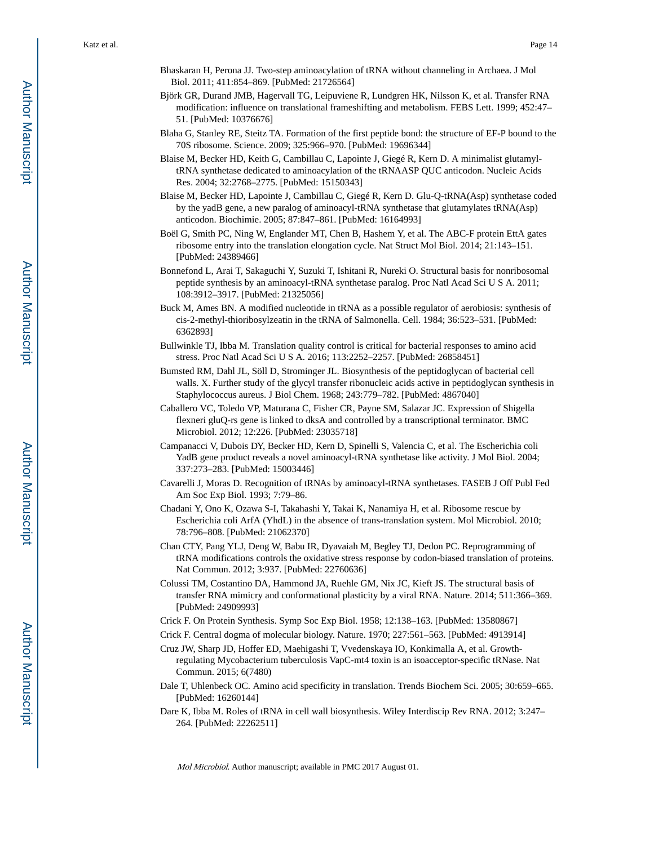- Bhaskaran H, Perona JJ. Two-step aminoacylation of tRNA without channeling in Archaea. J Mol Biol. 2011; 411:854–869. [PubMed: 21726564]
- Björk GR, Durand JMB, Hagervall TG, Leipuviene R, Lundgren HK, Nilsson K, et al. Transfer RNA modification: influence on translational frameshifting and metabolism. FEBS Lett. 1999; 452:47– 51. [PubMed: 10376676]
- Blaha G, Stanley RE, Steitz TA. Formation of the first peptide bond: the structure of EF-P bound to the 70S ribosome. Science. 2009; 325:966–970. [PubMed: 19696344]
- Blaise M, Becker HD, Keith G, Cambillau C, Lapointe J, Giegé R, Kern D. A minimalist glutamyltRNA synthetase dedicated to aminoacylation of the tRNAASP QUC anticodon. Nucleic Acids Res. 2004; 32:2768–2775. [PubMed: 15150343]
- Blaise M, Becker HD, Lapointe J, Cambillau C, Giegé R, Kern D. Glu-Q-tRNA(Asp) synthetase coded by the yadB gene, a new paralog of aminoacyl-tRNA synthetase that glutamylates tRNA(Asp) anticodon. Biochimie. 2005; 87:847–861. [PubMed: 16164993]
- Boël G, Smith PC, Ning W, Englander MT, Chen B, Hashem Y, et al. The ABC-F protein EttA gates ribosome entry into the translation elongation cycle. Nat Struct Mol Biol. 2014; 21:143–151. [PubMed: 24389466]
- Bonnefond L, Arai T, Sakaguchi Y, Suzuki T, Ishitani R, Nureki O. Structural basis for nonribosomal peptide synthesis by an aminoacyl-tRNA synthetase paralog. Proc Natl Acad Sci U S A. 2011; 108:3912–3917. [PubMed: 21325056]
- Buck M, Ames BN. A modified nucleotide in tRNA as a possible regulator of aerobiosis: synthesis of cis-2-methyl-thioribosylzeatin in the tRNA of Salmonella. Cell. 1984; 36:523–531. [PubMed: 6362893]
- Bullwinkle TJ, Ibba M. Translation quality control is critical for bacterial responses to amino acid stress. Proc Natl Acad Sci U S A. 2016; 113:2252–2257. [PubMed: 26858451]
- Bumsted RM, Dahl JL, Söll D, Strominger JL. Biosynthesis of the peptidoglycan of bacterial cell walls. X. Further study of the glycyl transfer ribonucleic acids active in peptidoglycan synthesis in Staphylococcus aureus. J Biol Chem. 1968; 243:779–782. [PubMed: 4867040]
- Caballero VC, Toledo VP, Maturana C, Fisher CR, Payne SM, Salazar JC. Expression of Shigella flexneri gluQ-rs gene is linked to dksA and controlled by a transcriptional terminator. BMC Microbiol. 2012; 12:226. [PubMed: 23035718]
- Campanacci V, Dubois DY, Becker HD, Kern D, Spinelli S, Valencia C, et al. The Escherichia coli YadB gene product reveals a novel aminoacyl-tRNA synthetase like activity. J Mol Biol. 2004; 337:273–283. [PubMed: 15003446]
- Cavarelli J, Moras D. Recognition of tRNAs by aminoacyl-tRNA synthetases. FASEB J Off Publ Fed Am Soc Exp Biol. 1993; 7:79–86.
- Chadani Y, Ono K, Ozawa S-I, Takahashi Y, Takai K, Nanamiya H, et al. Ribosome rescue by Escherichia coli ArfA (YhdL) in the absence of trans-translation system. Mol Microbiol. 2010; 78:796–808. [PubMed: 21062370]
- Chan CTY, Pang YLJ, Deng W, Babu IR, Dyavaiah M, Begley TJ, Dedon PC. Reprogramming of tRNA modifications controls the oxidative stress response by codon-biased translation of proteins. Nat Commun. 2012; 3:937. [PubMed: 22760636]
- Colussi TM, Costantino DA, Hammond JA, Ruehle GM, Nix JC, Kieft JS. The structural basis of transfer RNA mimicry and conformational plasticity by a viral RNA. Nature. 2014; 511:366–369. [PubMed: 24909993]
- Crick F. On Protein Synthesis. Symp Soc Exp Biol. 1958; 12:138–163. [PubMed: 13580867]
- Crick F. Central dogma of molecular biology. Nature. 1970; 227:561–563. [PubMed: 4913914]
- Cruz JW, Sharp JD, Hoffer ED, Maehigashi T, Vvedenskaya IO, Konkimalla A, et al. Growthregulating Mycobacterium tuberculosis VapC-mt4 toxin is an isoacceptor-specific tRNase. Nat Commun. 2015; 6(7480)
- Dale T, Uhlenbeck OC. Amino acid specificity in translation. Trends Biochem Sci. 2005; 30:659–665. [PubMed: 16260144]
- Dare K, Ibba M. Roles of tRNA in cell wall biosynthesis. Wiley Interdiscip Rev RNA. 2012; 3:247– 264. [PubMed: 22262511]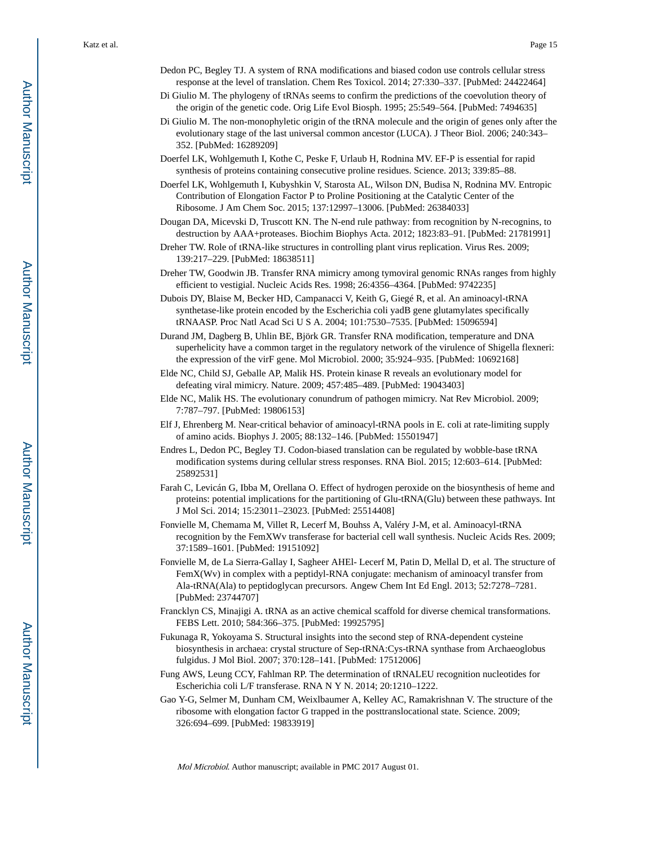- Dedon PC, Begley TJ. A system of RNA modifications and biased codon use controls cellular stress response at the level of translation. Chem Res Toxicol. 2014; 27:330–337. [PubMed: 24422464]
- Di Giulio M. The phylogeny of tRNAs seems to confirm the predictions of the coevolution theory of the origin of the genetic code. Orig Life Evol Biosph. 1995; 25:549–564. [PubMed: 7494635]
- Di Giulio M. The non-monophyletic origin of the tRNA molecule and the origin of genes only after the evolutionary stage of the last universal common ancestor (LUCA). J Theor Biol. 2006; 240:343– 352. [PubMed: 16289209]
- Doerfel LK, Wohlgemuth I, Kothe C, Peske F, Urlaub H, Rodnina MV. EF-P is essential for rapid synthesis of proteins containing consecutive proline residues. Science. 2013; 339:85–88.
- Doerfel LK, Wohlgemuth I, Kubyshkin V, Starosta AL, Wilson DN, Budisa N, Rodnina MV. Entropic Contribution of Elongation Factor P to Proline Positioning at the Catalytic Center of the Ribosome. J Am Chem Soc. 2015; 137:12997–13006. [PubMed: 26384033]
- Dougan DA, Micevski D, Truscott KN. The N-end rule pathway: from recognition by N-recognins, to destruction by AAA+proteases. Biochim Biophys Acta. 2012; 1823:83–91. [PubMed: 21781991]
- Dreher TW. Role of tRNA-like structures in controlling plant virus replication. Virus Res. 2009; 139:217–229. [PubMed: 18638511]
- Dreher TW, Goodwin JB. Transfer RNA mimicry among tymoviral genomic RNAs ranges from highly efficient to vestigial. Nucleic Acids Res. 1998; 26:4356–4364. [PubMed: 9742235]
- Dubois DY, Blaise M, Becker HD, Campanacci V, Keith G, Giegé R, et al. An aminoacyl-tRNA synthetase-like protein encoded by the Escherichia coli yadB gene glutamylates specifically tRNAASP. Proc Natl Acad Sci U S A. 2004; 101:7530–7535. [PubMed: 15096594]
- Durand JM, Dagberg B, Uhlin BE, Björk GR. Transfer RNA modification, temperature and DNA superhelicity have a common target in the regulatory network of the virulence of Shigella flexneri: the expression of the virF gene. Mol Microbiol. 2000; 35:924–935. [PubMed: 10692168]
- Elde NC, Child SJ, Geballe AP, Malik HS. Protein kinase R reveals an evolutionary model for defeating viral mimicry. Nature. 2009; 457:485–489. [PubMed: 19043403]
- Elde NC, Malik HS. The evolutionary conundrum of pathogen mimicry. Nat Rev Microbiol. 2009; 7:787–797. [PubMed: 19806153]
- Elf J, Ehrenberg M. Near-critical behavior of aminoacyl-tRNA pools in E. coli at rate-limiting supply of amino acids. Biophys J. 2005; 88:132–146. [PubMed: 15501947]
- Endres L, Dedon PC, Begley TJ. Codon-biased translation can be regulated by wobble-base tRNA modification systems during cellular stress responses. RNA Biol. 2015; 12:603–614. [PubMed: 25892531]
- Farah C, Levicán G, Ibba M, Orellana O. Effect of hydrogen peroxide on the biosynthesis of heme and proteins: potential implications for the partitioning of Glu-tRNA(Glu) between these pathways. Int J Mol Sci. 2014; 15:23011–23023. [PubMed: 25514408]
- Fonvielle M, Chemama M, Villet R, Lecerf M, Bouhss A, Valéry J-M, et al. Aminoacyl-tRNA recognition by the FemXWv transferase for bacterial cell wall synthesis. Nucleic Acids Res. 2009; 37:1589–1601. [PubMed: 19151092]
- Fonvielle M, de La Sierra-Gallay I, Sagheer AHEl- Lecerf M, Patin D, Mellal D, et al. The structure of FemX(Wv) in complex with a peptidyl-RNA conjugate: mechanism of aminoacyl transfer from Ala-tRNA(Ala) to peptidoglycan precursors. Angew Chem Int Ed Engl. 2013; 52:7278–7281. [PubMed: 23744707]
- Francklyn CS, Minajigi A. tRNA as an active chemical scaffold for diverse chemical transformations. FEBS Lett. 2010; 584:366–375. [PubMed: 19925795]
- Fukunaga R, Yokoyama S. Structural insights into the second step of RNA-dependent cysteine biosynthesis in archaea: crystal structure of Sep-tRNA:Cys-tRNA synthase from Archaeoglobus fulgidus. J Mol Biol. 2007; 370:128–141. [PubMed: 17512006]
- Fung AWS, Leung CCY, Fahlman RP. The determination of tRNALEU recognition nucleotides for Escherichia coli L/F transferase. RNA N Y N. 2014; 20:1210–1222.
- Gao Y-G, Selmer M, Dunham CM, Weixlbaumer A, Kelley AC, Ramakrishnan V. The structure of the ribosome with elongation factor G trapped in the posttranslocational state. Science. 2009; 326:694–699. [PubMed: 19833919]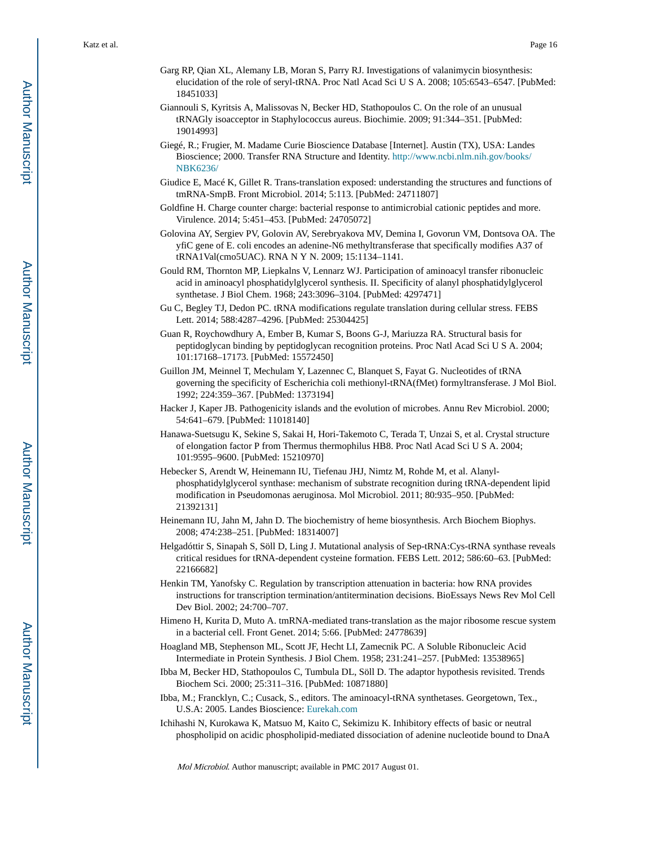- Garg RP, Qian XL, Alemany LB, Moran S, Parry RJ. Investigations of valanimycin biosynthesis: elucidation of the role of seryl-tRNA. Proc Natl Acad Sci U S A. 2008; 105:6543–6547. [PubMed: 18451033]
- Giannouli S, Kyritsis A, Malissovas N, Becker HD, Stathopoulos C. On the role of an unusual tRNAGly isoacceptor in Staphylococcus aureus. Biochimie. 2009; 91:344–351. [PubMed: 19014993]
- Giegé, R.; Frugier, M. Madame Curie Bioscience Database [Internet]. Austin (TX), USA: Landes Bioscience; 2000. Transfer RNA Structure and Identity. [http://www.ncbi.nlm.nih.gov/books/](http://www.ncbi.nlm.nih.gov/books/NBK6236/) [NBK6236/](http://www.ncbi.nlm.nih.gov/books/NBK6236/)
- Giudice E, Macé K, Gillet R. Trans-translation exposed: understanding the structures and functions of tmRNA-SmpB. Front Microbiol. 2014; 5:113. [PubMed: 24711807]
- Goldfine H. Charge counter charge: bacterial response to antimicrobial cationic peptides and more. Virulence. 2014; 5:451–453. [PubMed: 24705072]
- Golovina AY, Sergiev PV, Golovin AV, Serebryakova MV, Demina I, Govorun VM, Dontsova OA. The yfiC gene of E. coli encodes an adenine-N6 methyltransferase that specifically modifies A37 of tRNA1Val(cmo5UAC). RNA N Y N. 2009; 15:1134–1141.
- Gould RM, Thornton MP, Liepkalns V, Lennarz WJ. Participation of aminoacyl transfer ribonucleic acid in aminoacyl phosphatidylglycerol synthesis. II. Specificity of alanyl phosphatidylglycerol synthetase. J Biol Chem. 1968; 243:3096–3104. [PubMed: 4297471]
- Gu C, Begley TJ, Dedon PC. tRNA modifications regulate translation during cellular stress. FEBS Lett. 2014; 588:4287–4296. [PubMed: 25304425]
- Guan R, Roychowdhury A, Ember B, Kumar S, Boons G-J, Mariuzza RA. Structural basis for peptidoglycan binding by peptidoglycan recognition proteins. Proc Natl Acad Sci U S A. 2004; 101:17168–17173. [PubMed: 15572450]
- Guillon JM, Meinnel T, Mechulam Y, Lazennec C, Blanquet S, Fayat G. Nucleotides of tRNA governing the specificity of Escherichia coli methionyl-tRNA(fMet) formyltransferase. J Mol Biol. 1992; 224:359–367. [PubMed: 1373194]
- Hacker J, Kaper JB. Pathogenicity islands and the evolution of microbes. Annu Rev Microbiol. 2000; 54:641–679. [PubMed: 11018140]
- Hanawa-Suetsugu K, Sekine S, Sakai H, Hori-Takemoto C, Terada T, Unzai S, et al. Crystal structure of elongation factor P from Thermus thermophilus HB8. Proc Natl Acad Sci U S A. 2004; 101:9595–9600. [PubMed: 15210970]
- Hebecker S, Arendt W, Heinemann IU, Tiefenau JHJ, Nimtz M, Rohde M, et al. Alanylphosphatidylglycerol synthase: mechanism of substrate recognition during tRNA-dependent lipid modification in Pseudomonas aeruginosa. Mol Microbiol. 2011; 80:935–950. [PubMed: 21392131]
- Heinemann IU, Jahn M, Jahn D. The biochemistry of heme biosynthesis. Arch Biochem Biophys. 2008; 474:238–251. [PubMed: 18314007]
- Helgadóttir S, Sinapah S, Söll D, Ling J. Mutational analysis of Sep-tRNA:Cys-tRNA synthase reveals critical residues for tRNA-dependent cysteine formation. FEBS Lett. 2012; 586:60–63. [PubMed: 22166682]
- Henkin TM, Yanofsky C. Regulation by transcription attenuation in bacteria: how RNA provides instructions for transcription termination/antitermination decisions. BioEssays News Rev Mol Cell Dev Biol. 2002; 24:700–707.
- Himeno H, Kurita D, Muto A. tmRNA-mediated trans-translation as the major ribosome rescue system in a bacterial cell. Front Genet. 2014; 5:66. [PubMed: 24778639]
- Hoagland MB, Stephenson ML, Scott JF, Hecht LI, Zamecnik PC. A Soluble Ribonucleic Acid Intermediate in Protein Synthesis. J Biol Chem. 1958; 231:241–257. [PubMed: 13538965]
- Ibba M, Becker HD, Stathopoulos C, Tumbula DL, Söll D. The adaptor hypothesis revisited. Trends Biochem Sci. 2000; 25:311–316. [PubMed: 10871880]
- Ibba, M.; Francklyn, C.; Cusack, S., editors. The aminoacyl-tRNA synthetases. Georgetown, Tex., U.S.A: 2005. Landes Bioscience: [Eurekah.com](http://Eurekah.com)
- Ichihashi N, Kurokawa K, Matsuo M, Kaito C, Sekimizu K. Inhibitory effects of basic or neutral phospholipid on acidic phospholipid-mediated dissociation of adenine nucleotide bound to DnaA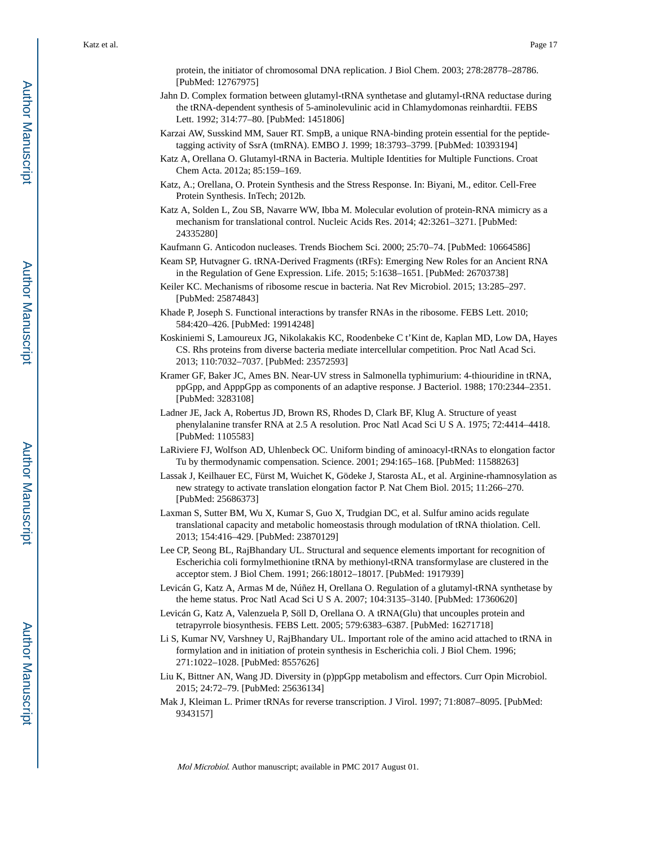protein, the initiator of chromosomal DNA replication. J Biol Chem. 2003; 278:28778–28786. [PubMed: 12767975]

- Jahn D. Complex formation between glutamyl-tRNA synthetase and glutamyl-tRNA reductase during the tRNA-dependent synthesis of 5-aminolevulinic acid in Chlamydomonas reinhardtii. FEBS Lett. 1992; 314:77–80. [PubMed: 1451806]
- Karzai AW, Susskind MM, Sauer RT. SmpB, a unique RNA-binding protein essential for the peptidetagging activity of SsrA (tmRNA). EMBO J. 1999; 18:3793–3799. [PubMed: 10393194]
- Katz A, Orellana O. Glutamyl-tRNA in Bacteria. Multiple Identities for Multiple Functions. Croat Chem Acta. 2012a; 85:159–169.
- Katz, A.; Orellana, O. Protein Synthesis and the Stress Response. In: Biyani, M., editor. Cell-Free Protein Synthesis. InTech; 2012b.
- Katz A, Solden L, Zou SB, Navarre WW, Ibba M. Molecular evolution of protein-RNA mimicry as a mechanism for translational control. Nucleic Acids Res. 2014; 42:3261–3271. [PubMed: 24335280]
- Kaufmann G. Anticodon nucleases. Trends Biochem Sci. 2000; 25:70–74. [PubMed: 10664586]
- Keam SP, Hutvagner G. tRNA-Derived Fragments (tRFs): Emerging New Roles for an Ancient RNA in the Regulation of Gene Expression. Life. 2015; 5:1638–1651. [PubMed: 26703738]
- Keiler KC. Mechanisms of ribosome rescue in bacteria. Nat Rev Microbiol. 2015; 13:285–297. [PubMed: 25874843]
- Khade P, Joseph S. Functional interactions by transfer RNAs in the ribosome. FEBS Lett. 2010; 584:420–426. [PubMed: 19914248]
- Koskiniemi S, Lamoureux JG, Nikolakakis KC, Roodenbeke C t'Kint de, Kaplan MD, Low DA, Hayes CS. Rhs proteins from diverse bacteria mediate intercellular competition. Proc Natl Acad Sci. 2013; 110:7032–7037. [PubMed: 23572593]
- Kramer GF, Baker JC, Ames BN. Near-UV stress in Salmonella typhimurium: 4-thiouridine in tRNA, ppGpp, and ApppGpp as components of an adaptive response. J Bacteriol. 1988; 170:2344–2351. [PubMed: 3283108]
- Ladner JE, Jack A, Robertus JD, Brown RS, Rhodes D, Clark BF, Klug A. Structure of yeast phenylalanine transfer RNA at 2.5 A resolution. Proc Natl Acad Sci U S A. 1975; 72:4414–4418. [PubMed: 1105583]
- LaRiviere FJ, Wolfson AD, Uhlenbeck OC. Uniform binding of aminoacyl-tRNAs to elongation factor Tu by thermodynamic compensation. Science. 2001; 294:165–168. [PubMed: 11588263]
- Lassak J, Keilhauer EC, Fürst M, Wuichet K, Gödeke J, Starosta AL, et al. Arginine-rhamnosylation as new strategy to activate translation elongation factor P. Nat Chem Biol. 2015; 11:266–270. [PubMed: 25686373]
- Laxman S, Sutter BM, Wu X, Kumar S, Guo X, Trudgian DC, et al. Sulfur amino acids regulate translational capacity and metabolic homeostasis through modulation of tRNA thiolation. Cell. 2013; 154:416–429. [PubMed: 23870129]
- Lee CP, Seong BL, RajBhandary UL. Structural and sequence elements important for recognition of Escherichia coli formylmethionine tRNA by methionyl-tRNA transformylase are clustered in the acceptor stem. J Biol Chem. 1991; 266:18012–18017. [PubMed: 1917939]
- Levicán G, Katz A, Armas M de, Núñez H, Orellana O. Regulation of a glutamyl-tRNA synthetase by the heme status. Proc Natl Acad Sci U S A. 2007; 104:3135–3140. [PubMed: 17360620]
- Levicán G, Katz A, Valenzuela P, Söll D, Orellana O. A tRNA(Glu) that uncouples protein and tetrapyrrole biosynthesis. FEBS Lett. 2005; 579:6383–6387. [PubMed: 16271718]
- Li S, Kumar NV, Varshney U, RajBhandary UL. Important role of the amino acid attached to tRNA in formylation and in initiation of protein synthesis in Escherichia coli. J Biol Chem. 1996; 271:1022–1028. [PubMed: 8557626]
- Liu K, Bittner AN, Wang JD. Diversity in (p)ppGpp metabolism and effectors. Curr Opin Microbiol. 2015; 24:72–79. [PubMed: 25636134]
- Mak J, Kleiman L. Primer tRNAs for reverse transcription. J Virol. 1997; 71:8087–8095. [PubMed: 9343157]

Author Manuscript

Author Manuscript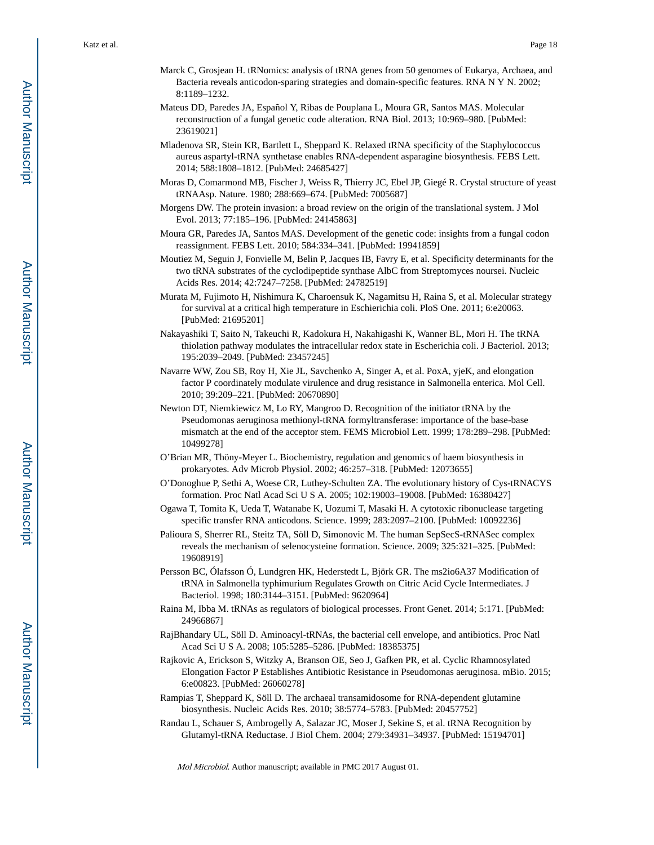- Marck C, Grosjean H. tRNomics: analysis of tRNA genes from 50 genomes of Eukarya, Archaea, and Bacteria reveals anticodon-sparing strategies and domain-specific features. RNA N Y N. 2002; 8:1189–1232.
- Mateus DD, Paredes JA, Español Y, Ribas de Pouplana L, Moura GR, Santos MAS. Molecular reconstruction of a fungal genetic code alteration. RNA Biol. 2013; 10:969–980. [PubMed: 23619021]
- Mladenova SR, Stein KR, Bartlett L, Sheppard K. Relaxed tRNA specificity of the Staphylococcus aureus aspartyl-tRNA synthetase enables RNA-dependent asparagine biosynthesis. FEBS Lett. 2014; 588:1808–1812. [PubMed: 24685427]
- Moras D, Comarmond MB, Fischer J, Weiss R, Thierry JC, Ebel JP, Giegé R. Crystal structure of yeast tRNAAsp. Nature. 1980; 288:669–674. [PubMed: 7005687]
- Morgens DW. The protein invasion: a broad review on the origin of the translational system. J Mol Evol. 2013; 77:185–196. [PubMed: 24145863]
- Moura GR, Paredes JA, Santos MAS. Development of the genetic code: insights from a fungal codon reassignment. FEBS Lett. 2010; 584:334–341. [PubMed: 19941859]
- Moutiez M, Seguin J, Fonvielle M, Belin P, Jacques IB, Favry E, et al. Specificity determinants for the two tRNA substrates of the cyclodipeptide synthase AlbC from Streptomyces noursei. Nucleic Acids Res. 2014; 42:7247–7258. [PubMed: 24782519]
- Murata M, Fujimoto H, Nishimura K, Charoensuk K, Nagamitsu H, Raina S, et al. Molecular strategy for survival at a critical high temperature in Eschierichia coli. PloS One. 2011; 6:e20063. [PubMed: 21695201]
- Nakayashiki T, Saito N, Takeuchi R, Kadokura H, Nakahigashi K, Wanner BL, Mori H. The tRNA thiolation pathway modulates the intracellular redox state in Escherichia coli. J Bacteriol. 2013; 195:2039–2049. [PubMed: 23457245]
- Navarre WW, Zou SB, Roy H, Xie JL, Savchenko A, Singer A, et al. PoxA, yjeK, and elongation factor P coordinately modulate virulence and drug resistance in Salmonella enterica. Mol Cell. 2010; 39:209–221. [PubMed: 20670890]
- Newton DT, Niemkiewicz M, Lo RY, Mangroo D. Recognition of the initiator tRNA by the Pseudomonas aeruginosa methionyl-tRNA formyltransferase: importance of the base-base mismatch at the end of the acceptor stem. FEMS Microbiol Lett. 1999; 178:289–298. [PubMed: 10499278]
- O'Brian MR, Thöny-Meyer L. Biochemistry, regulation and genomics of haem biosynthesis in prokaryotes. Adv Microb Physiol. 2002; 46:257–318. [PubMed: 12073655]
- O'Donoghue P, Sethi A, Woese CR, Luthey-Schulten ZA. The evolutionary history of Cys-tRNACYS formation. Proc Natl Acad Sci U S A. 2005; 102:19003–19008. [PubMed: 16380427]
- Ogawa T, Tomita K, Ueda T, Watanabe K, Uozumi T, Masaki H. A cytotoxic ribonuclease targeting specific transfer RNA anticodons. Science. 1999; 283:2097–2100. [PubMed: 10092236]
- Palioura S, Sherrer RL, Steitz TA, Söll D, Simonovic M. The human SepSecS-tRNASec complex reveals the mechanism of selenocysteine formation. Science. 2009; 325:321–325. [PubMed: 19608919]
- Persson BC, Ólafsson Ó, Lundgren HK, Hederstedt L, Björk GR. The ms2io6A37 Modification of tRNA in Salmonella typhimurium Regulates Growth on Citric Acid Cycle Intermediates. J Bacteriol. 1998; 180:3144–3151. [PubMed: 9620964]
- Raina M, Ibba M. tRNAs as regulators of biological processes. Front Genet. 2014; 5:171. [PubMed: 24966867]
- RajBhandary UL, Söll D. Aminoacyl-tRNAs, the bacterial cell envelope, and antibiotics. Proc Natl Acad Sci U S A. 2008; 105:5285–5286. [PubMed: 18385375]
- Rajkovic A, Erickson S, Witzky A, Branson OE, Seo J, Gafken PR, et al. Cyclic Rhamnosylated Elongation Factor P Establishes Antibiotic Resistance in Pseudomonas aeruginosa. mBio. 2015; 6:e00823. [PubMed: 26060278]
- Rampias T, Sheppard K, Söll D. The archaeal transamidosome for RNA-dependent glutamine biosynthesis. Nucleic Acids Res. 2010; 38:5774–5783. [PubMed: 20457752]
- Randau L, Schauer S, Ambrogelly A, Salazar JC, Moser J, Sekine S, et al. tRNA Recognition by Glutamyl-tRNA Reductase. J Biol Chem. 2004; 279:34931–34937. [PubMed: 15194701]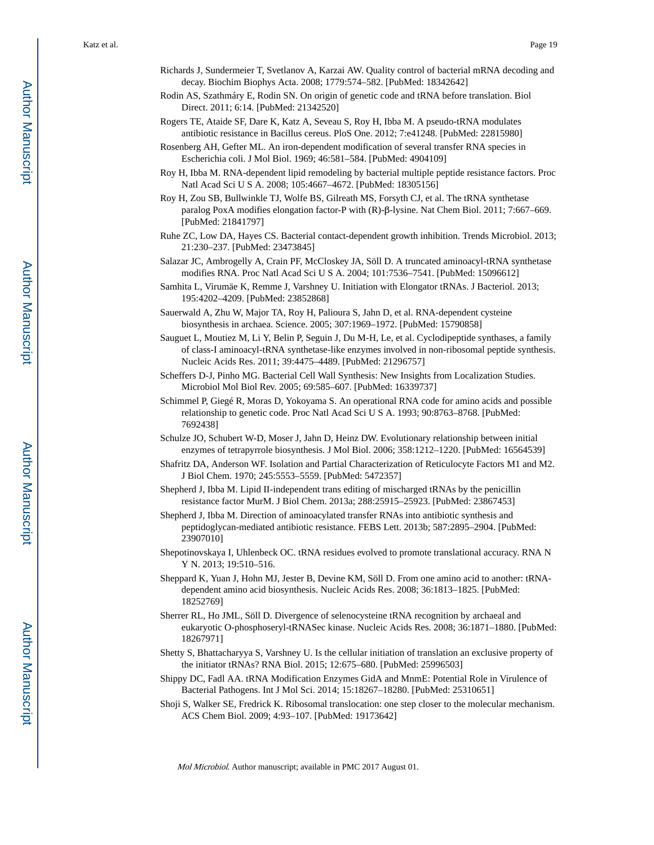- Richards J, Sundermeier T, Svetlanov A, Karzai AW. Quality control of bacterial mRNA decoding and decay. Biochim Biophys Acta. 2008; 1779:574–582. [PubMed: 18342642]
- Rodin AS, Szathmáry E, Rodin SN. On origin of genetic code and tRNA before translation. Biol Direct. 2011; 6:14. [PubMed: 21342520]
- Rogers TE, Ataide SF, Dare K, Katz A, Seveau S, Roy H, Ibba M. A pseudo-tRNA modulates antibiotic resistance in Bacillus cereus. PloS One. 2012; 7:e41248. [PubMed: 22815980]
- Rosenberg AH, Gefter ML. An iron-dependent modification of several transfer RNA species in Escherichia coli. J Mol Biol. 1969; 46:581–584. [PubMed: 4904109]
- Roy H, Ibba M. RNA-dependent lipid remodeling by bacterial multiple peptide resistance factors. Proc Natl Acad Sci U S A. 2008; 105:4667–4672. [PubMed: 18305156]
- Roy H, Zou SB, Bullwinkle TJ, Wolfe BS, Gilreath MS, Forsyth CJ, et al. The tRNA synthetase paralog PoxA modifies elongation factor-P with (R)-β-lysine. Nat Chem Biol. 2011; 7:667–669. [PubMed: 21841797]
- Ruhe ZC, Low DA, Hayes CS. Bacterial contact-dependent growth inhibition. Trends Microbiol. 2013; 21:230–237. [PubMed: 23473845]
- Salazar JC, Ambrogelly A, Crain PF, McCloskey JA, Söll D. A truncated aminoacyl-tRNA synthetase modifies RNA. Proc Natl Acad Sci U S A. 2004; 101:7536–7541. [PubMed: 15096612]
- Samhita L, Virumäe K, Remme J, Varshney U. Initiation with Elongator tRNAs. J Bacteriol. 2013; 195:4202–4209. [PubMed: 23852868]
- Sauerwald A, Zhu W, Major TA, Roy H, Palioura S, Jahn D, et al. RNA-dependent cysteine biosynthesis in archaea. Science. 2005; 307:1969–1972. [PubMed: 15790858]
- Sauguet L, Moutiez M, Li Y, Belin P, Seguin J, Du M-H, Le, et al. Cyclodipeptide synthases, a family of class-I aminoacyl-tRNA synthetase-like enzymes involved in non-ribosomal peptide synthesis. Nucleic Acids Res. 2011; 39:4475–4489. [PubMed: 21296757]
- Scheffers D-J, Pinho MG. Bacterial Cell Wall Synthesis: New Insights from Localization Studies. Microbiol Mol Biol Rev. 2005; 69:585–607. [PubMed: 16339737]
- Schimmel P, Giegé R, Moras D, Yokoyama S. An operational RNA code for amino acids and possible relationship to genetic code. Proc Natl Acad Sci U S A. 1993; 90:8763–8768. [PubMed: 7692438]
- Schulze JO, Schubert W-D, Moser J, Jahn D, Heinz DW. Evolutionary relationship between initial enzymes of tetrapyrrole biosynthesis. J Mol Biol. 2006; 358:1212–1220. [PubMed: 16564539]
- Shafritz DA, Anderson WF. Isolation and Partial Characterization of Reticulocyte Factors M1 and M2. J Biol Chem. 1970; 245:5553–5559. [PubMed: 5472357]
- Shepherd J, Ibba M. Lipid II-independent trans editing of mischarged tRNAs by the penicillin resistance factor MurM. J Biol Chem. 2013a; 288:25915–25923. [PubMed: 23867453]
- Shepherd J, Ibba M. Direction of aminoacylated transfer RNAs into antibiotic synthesis and peptidoglycan-mediated antibiotic resistance. FEBS Lett. 2013b; 587:2895–2904. [PubMed: 23907010]
- Shepotinovskaya I, Uhlenbeck OC. tRNA residues evolved to promote translational accuracy. RNA N Y N. 2013; 19:510–516.
- Sheppard K, Yuan J, Hohn MJ, Jester B, Devine KM, Söll D. From one amino acid to another: tRNAdependent amino acid biosynthesis. Nucleic Acids Res. 2008; 36:1813–1825. [PubMed: 18252769]
- Sherrer RL, Ho JML, Söll D. Divergence of selenocysteine tRNA recognition by archaeal and eukaryotic O-phosphoseryl-tRNASec kinase. Nucleic Acids Res. 2008; 36:1871–1880. [PubMed: 18267971]
- Shetty S, Bhattacharyya S, Varshney U. Is the cellular initiation of translation an exclusive property of the initiator tRNAs? RNA Biol. 2015; 12:675–680. [PubMed: 25996503]
- Shippy DC, Fadl AA. tRNA Modification Enzymes GidA and MnmE: Potential Role in Virulence of Bacterial Pathogens. Int J Mol Sci. 2014; 15:18267–18280. [PubMed: 25310651]
- Shoji S, Walker SE, Fredrick K. Ribosomal translocation: one step closer to the molecular mechanism. ACS Chem Biol. 2009; 4:93–107. [PubMed: 19173642]

 Author ManuscriptAuthor Manuscript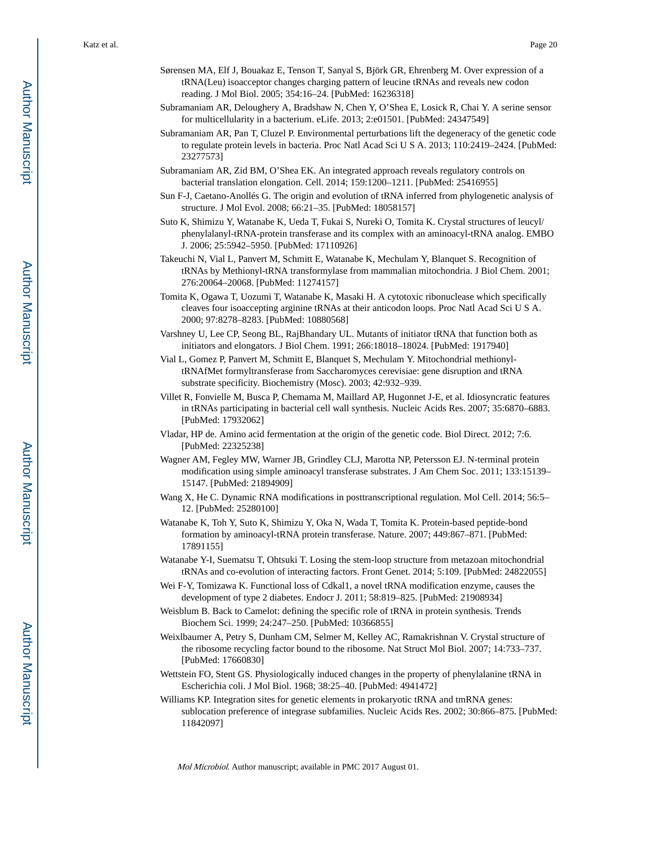- Sørensen MA, Elf J, Bouakaz E, Tenson T, Sanyal S, Björk GR, Ehrenberg M. Over expression of a tRNA(Leu) isoacceptor changes charging pattern of leucine tRNAs and reveals new codon reading. J Mol Biol. 2005; 354:16–24. [PubMed: 16236318]
- Subramaniam AR, Deloughery A, Bradshaw N, Chen Y, O'Shea E, Losick R, Chai Y. A serine sensor for multicellularity in a bacterium. eLife. 2013; 2:e01501. [PubMed: 24347549]
- Subramaniam AR, Pan T, Cluzel P. Environmental perturbations lift the degeneracy of the genetic code to regulate protein levels in bacteria. Proc Natl Acad Sci U S A. 2013; 110:2419–2424. [PubMed: 23277573]
- Subramaniam AR, Zid BM, O'Shea EK. An integrated approach reveals regulatory controls on bacterial translation elongation. Cell. 2014; 159:1200–1211. [PubMed: 25416955]
- Sun F-J, Caetano-Anollés G. The origin and evolution of tRNA inferred from phylogenetic analysis of structure. J Mol Evol. 2008; 66:21–35. [PubMed: 18058157]
- Suto K, Shimizu Y, Watanabe K, Ueda T, Fukai S, Nureki O, Tomita K. Crystal structures of leucyl/ phenylalanyl-tRNA-protein transferase and its complex with an aminoacyl-tRNA analog. EMBO J. 2006; 25:5942–5950. [PubMed: 17110926]
- Takeuchi N, Vial L, Panvert M, Schmitt E, Watanabe K, Mechulam Y, Blanquet S. Recognition of tRNAs by Methionyl-tRNA transformylase from mammalian mitochondria. J Biol Chem. 2001; 276:20064–20068. [PubMed: 11274157]
- Tomita K, Ogawa T, Uozumi T, Watanabe K, Masaki H. A cytotoxic ribonuclease which specifically cleaves four isoaccepting arginine tRNAs at their anticodon loops. Proc Natl Acad Sci U S A. 2000; 97:8278–8283. [PubMed: 10880568]
- Varshney U, Lee CP, Seong BL, RajBhandary UL. Mutants of initiator tRNA that function both as initiators and elongators. J Biol Chem. 1991; 266:18018–18024. [PubMed: 1917940]
- Vial L, Gomez P, Panvert M, Schmitt E, Blanquet S, Mechulam Y. Mitochondrial methionyltRNAfMet formyltransferase from Saccharomyces cerevisiae: gene disruption and tRNA substrate specificity. Biochemistry (Mosc). 2003; 42:932–939.
- Villet R, Fonvielle M, Busca P, Chemama M, Maillard AP, Hugonnet J-E, et al. Idiosyncratic features in tRNAs participating in bacterial cell wall synthesis. Nucleic Acids Res. 2007; 35:6870–6883. [PubMed: 17932062]
- Vladar, HP de. Amino acid fermentation at the origin of the genetic code. Biol Direct. 2012; 7:6. [PubMed: 22325238]
- Wagner AM, Fegley MW, Warner JB, Grindley CLJ, Marotta NP, Petersson EJ. N-terminal protein modification using simple aminoacyl transferase substrates. J Am Chem Soc. 2011; 133:15139– 15147. [PubMed: 21894909]
- Wang X, He C. Dynamic RNA modifications in posttranscriptional regulation. Mol Cell. 2014; 56:5– 12. [PubMed: 25280100]
- Watanabe K, Toh Y, Suto K, Shimizu Y, Oka N, Wada T, Tomita K. Protein-based peptide-bond formation by aminoacyl-tRNA protein transferase. Nature. 2007; 449:867–871. [PubMed: 17891155]
- Watanabe Y-I, Suematsu T, Ohtsuki T. Losing the stem-loop structure from metazoan mitochondrial tRNAs and co-evolution of interacting factors. Front Genet. 2014; 5:109. [PubMed: 24822055]
- Wei F-Y, Tomizawa K. Functional loss of Cdkal1, a novel tRNA modification enzyme, causes the development of type 2 diabetes. Endocr J. 2011; 58:819–825. [PubMed: 21908934]
- Weisblum B. Back to Camelot: defining the specific role of tRNA in protein synthesis. Trends Biochem Sci. 1999; 24:247–250. [PubMed: 10366855]
- Weixlbaumer A, Petry S, Dunham CM, Selmer M, Kelley AC, Ramakrishnan V. Crystal structure of the ribosome recycling factor bound to the ribosome. Nat Struct Mol Biol. 2007; 14:733–737. [PubMed: 17660830]
- Wettstein FO, Stent GS. Physiologically induced changes in the property of phenylalanine tRNA in Escherichia coli. J Mol Biol. 1968; 38:25–40. [PubMed: 4941472]
- Williams KP. Integration sites for genetic elements in prokaryotic tRNA and tmRNA genes: sublocation preference of integrase subfamilies. Nucleic Acids Res. 2002; 30:866–875. [PubMed: 11842097]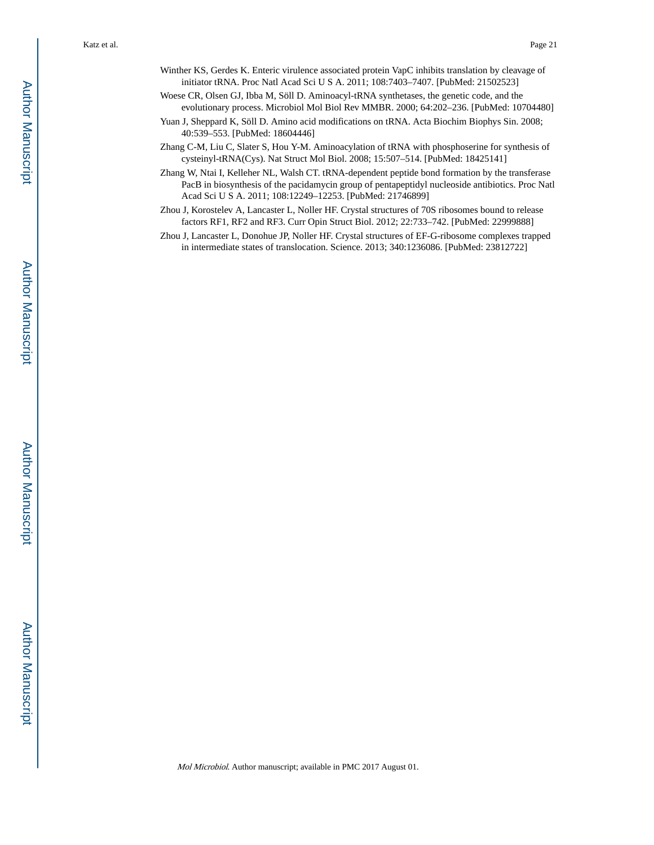- Winther KS, Gerdes K. Enteric virulence associated protein VapC inhibits translation by cleavage of initiator tRNA. Proc Natl Acad Sci U S A. 2011; 108:7403–7407. [PubMed: 21502523]
- Woese CR, Olsen GJ, Ibba M, Söll D. Aminoacyl-tRNA synthetases, the genetic code, and the evolutionary process. Microbiol Mol Biol Rev MMBR. 2000; 64:202–236. [PubMed: 10704480]
- Yuan J, Sheppard K, Söll D. Amino acid modifications on tRNA. Acta Biochim Biophys Sin. 2008; 40:539–553. [PubMed: 18604446]
- Zhang C-M, Liu C, Slater S, Hou Y-M. Aminoacylation of tRNA with phosphoserine for synthesis of cysteinyl-tRNA(Cys). Nat Struct Mol Biol. 2008; 15:507–514. [PubMed: 18425141]
- Zhang W, Ntai I, Kelleher NL, Walsh CT. tRNA-dependent peptide bond formation by the transferase PacB in biosynthesis of the pacidamycin group of pentapeptidyl nucleoside antibiotics. Proc Natl Acad Sci U S A. 2011; 108:12249–12253. [PubMed: 21746899]
- Zhou J, Korostelev A, Lancaster L, Noller HF. Crystal structures of 70S ribosomes bound to release factors RF1, RF2 and RF3. Curr Opin Struct Biol. 2012; 22:733–742. [PubMed: 22999888]
- Zhou J, Lancaster L, Donohue JP, Noller HF. Crystal structures of EF-G-ribosome complexes trapped in intermediate states of translocation. Science. 2013; 340:1236086. [PubMed: 23812722]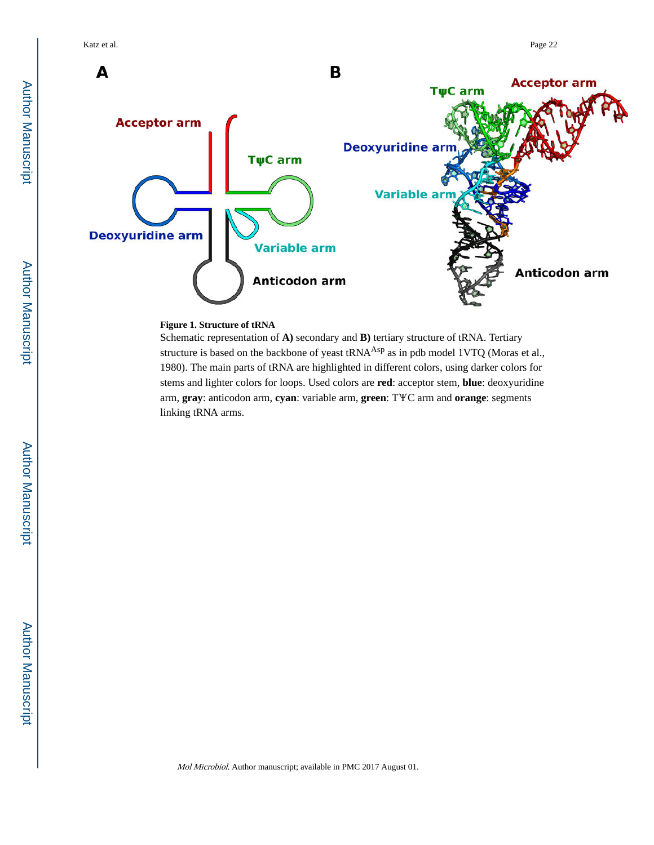

#### **Figure 1. Structure of tRNA**

Schematic representation of **A)** secondary and **B)** tertiary structure of tRNA. Tertiary structure is based on the backbone of yeast tRNA<sup>Asp</sup> as in pdb model 1VTQ (Moras et al., 1980). The main parts of tRNA are highlighted in different colors, using darker colors for stems and lighter colors for loops. Used colors are **red**: acceptor stem, **blue**: deoxyuridine arm, **gray**: anticodon arm, **cyan**: variable arm, **green**: TΨC arm and **orange**: segments linking tRNA arms.